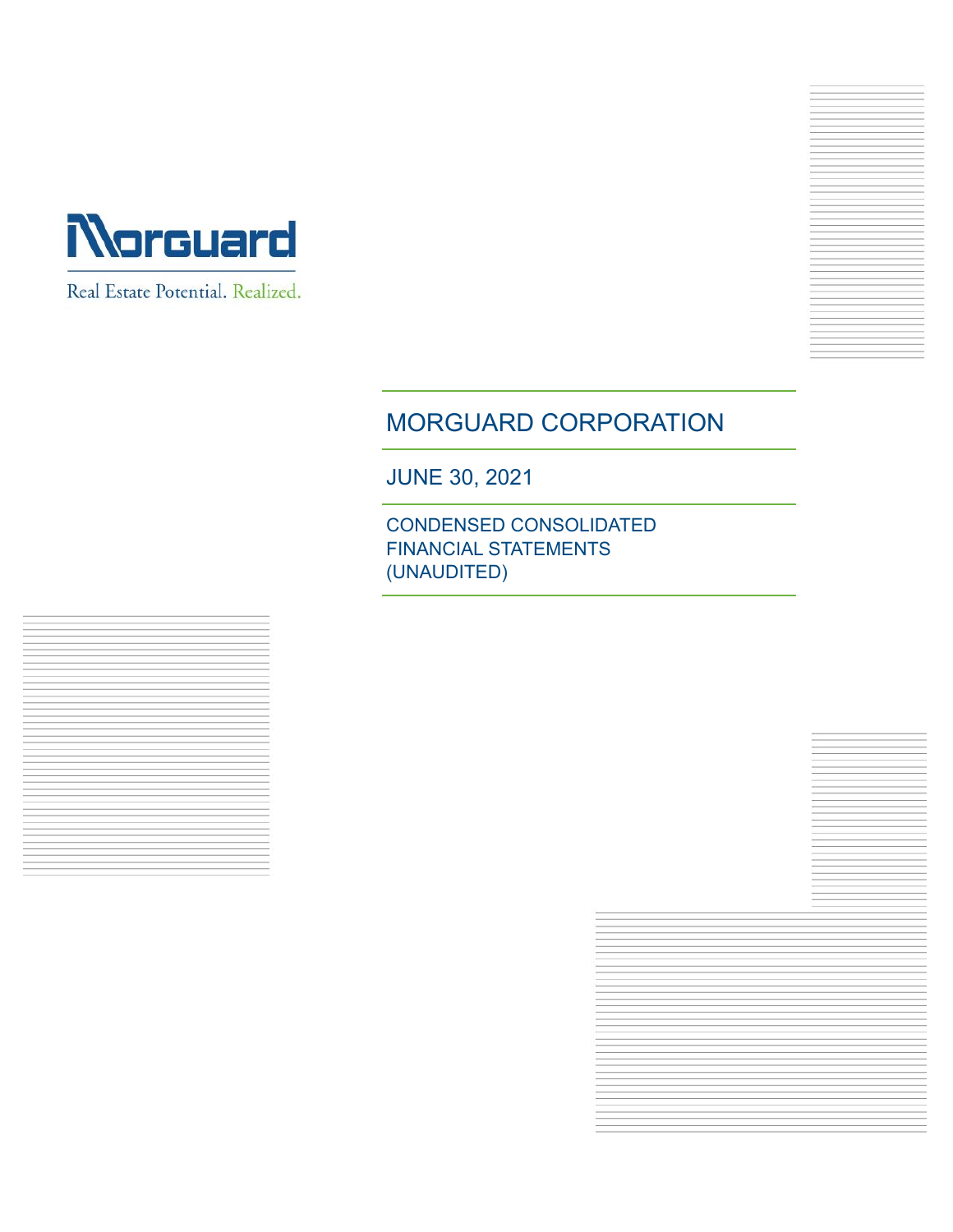

Real Estate Potential. Realized.



JUNE 30, 2021

CONDENSED CONSOLIDATED FINANCIAL STATEMENTS (UNAUDITED)

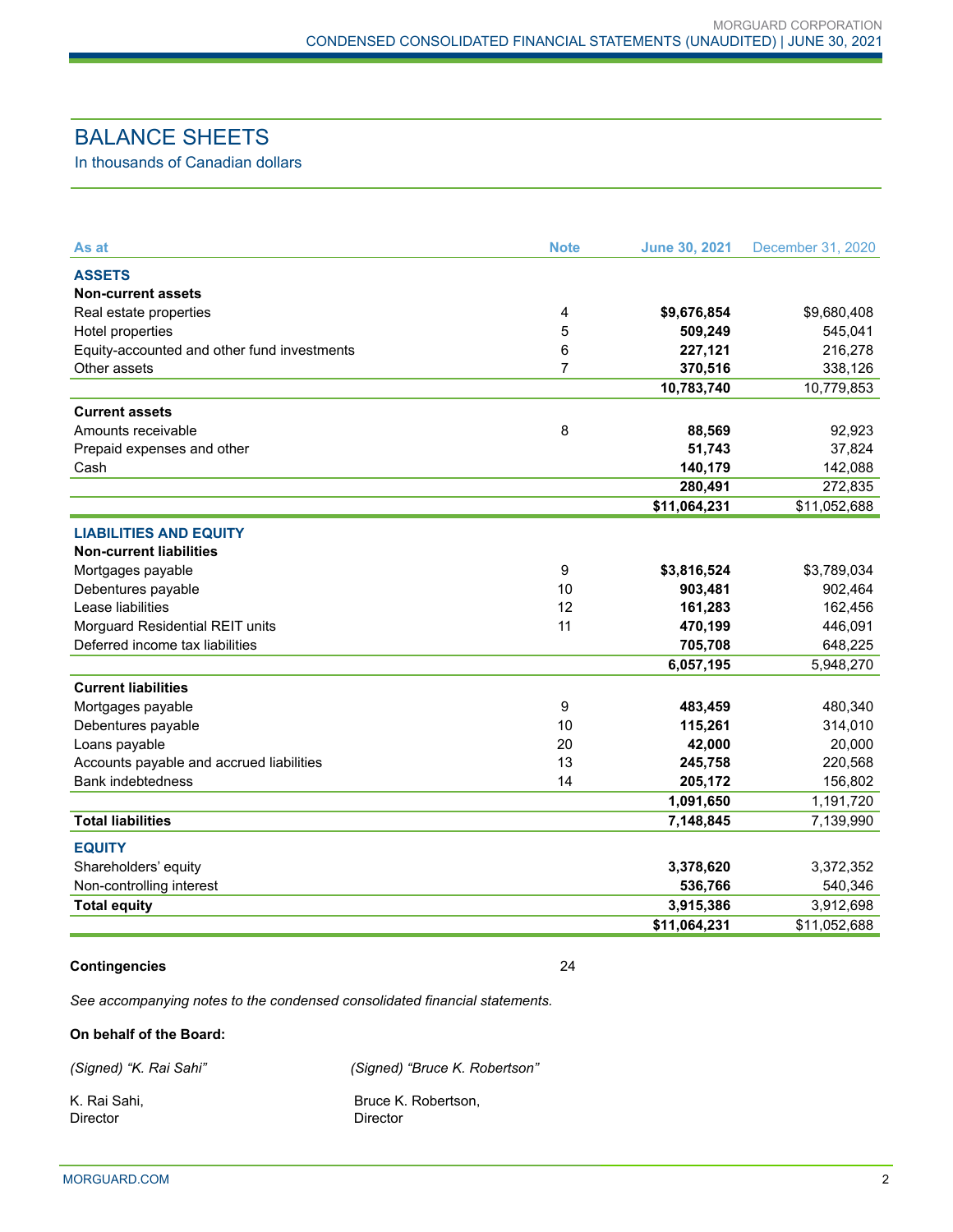# BALANCE SHEETS

In thousands of Canadian dollars

| As at                                       | <b>Note</b>    | <b>June 30, 2021</b> | December 31, 2020 |
|---------------------------------------------|----------------|----------------------|-------------------|
| <b>ASSETS</b>                               |                |                      |                   |
| <b>Non-current assets</b>                   |                |                      |                   |
| Real estate properties                      | $\overline{4}$ | \$9,676,854          | \$9,680,408       |
| Hotel properties                            | 5              | 509,249              | 545,041           |
| Equity-accounted and other fund investments | 6              | 227,121              | 216,278           |
| Other assets                                | $\overline{7}$ | 370,516              | 338,126           |
|                                             |                | 10,783,740           | 10,779,853        |
| <b>Current assets</b>                       |                |                      |                   |
| Amounts receivable                          | 8              | 88,569               | 92,923            |
| Prepaid expenses and other                  |                | 51,743               | 37,824            |
| Cash                                        |                | 140,179              | 142,088           |
|                                             |                | 280,491              | 272,835           |
|                                             |                | \$11,064,231         | \$11,052,688      |
| <b>LIABILITIES AND EQUITY</b>               |                |                      |                   |
| <b>Non-current liabilities</b>              |                |                      |                   |
| Mortgages payable                           | 9              | \$3,816,524          | \$3,789,034       |
| Debentures payable                          | 10             | 903,481              | 902,464           |
| Lease liabilities                           | 12             | 161,283              | 162,456           |
| Morguard Residential REIT units             | 11             | 470,199              | 446,091           |
| Deferred income tax liabilities             |                | 705,708              | 648,225           |
|                                             |                | 6,057,195            | 5,948,270         |
| <b>Current liabilities</b>                  |                |                      |                   |
| Mortgages payable                           | 9              | 483,459              | 480,340           |
| Debentures payable                          | 10             | 115,261              | 314,010           |
| Loans payable                               | 20             | 42,000               | 20,000            |
| Accounts payable and accrued liabilities    | 13             | 245,758              | 220,568           |
| <b>Bank indebtedness</b>                    | 14             | 205,172              | 156,802           |
|                                             |                | 1,091,650            | 1,191,720         |
| <b>Total liabilities</b>                    |                | 7,148,845            | 7,139,990         |
| <b>EQUITY</b>                               |                |                      |                   |
| Shareholders' equity                        |                | 3,378,620            | 3,372,352         |
| Non-controlling interest                    |                | 536,766              | 540,346           |
| <b>Total equity</b>                         |                | 3,915,386            | 3,912,698         |
|                                             |                | \$11,064,231         | \$11,052,688      |
|                                             |                |                      |                   |

#### **Contingencies** 24

*See accompanying notes to the condensed consolidated financial statements.*

#### **On behalf of the Board:**

*(Signed) "K. Rai Sahi" (Signed) "Bruce K. Robertson"* 

Director Director

K. Rai Sahi, **Bruce K. Robertson,** Bruce K. Robertson,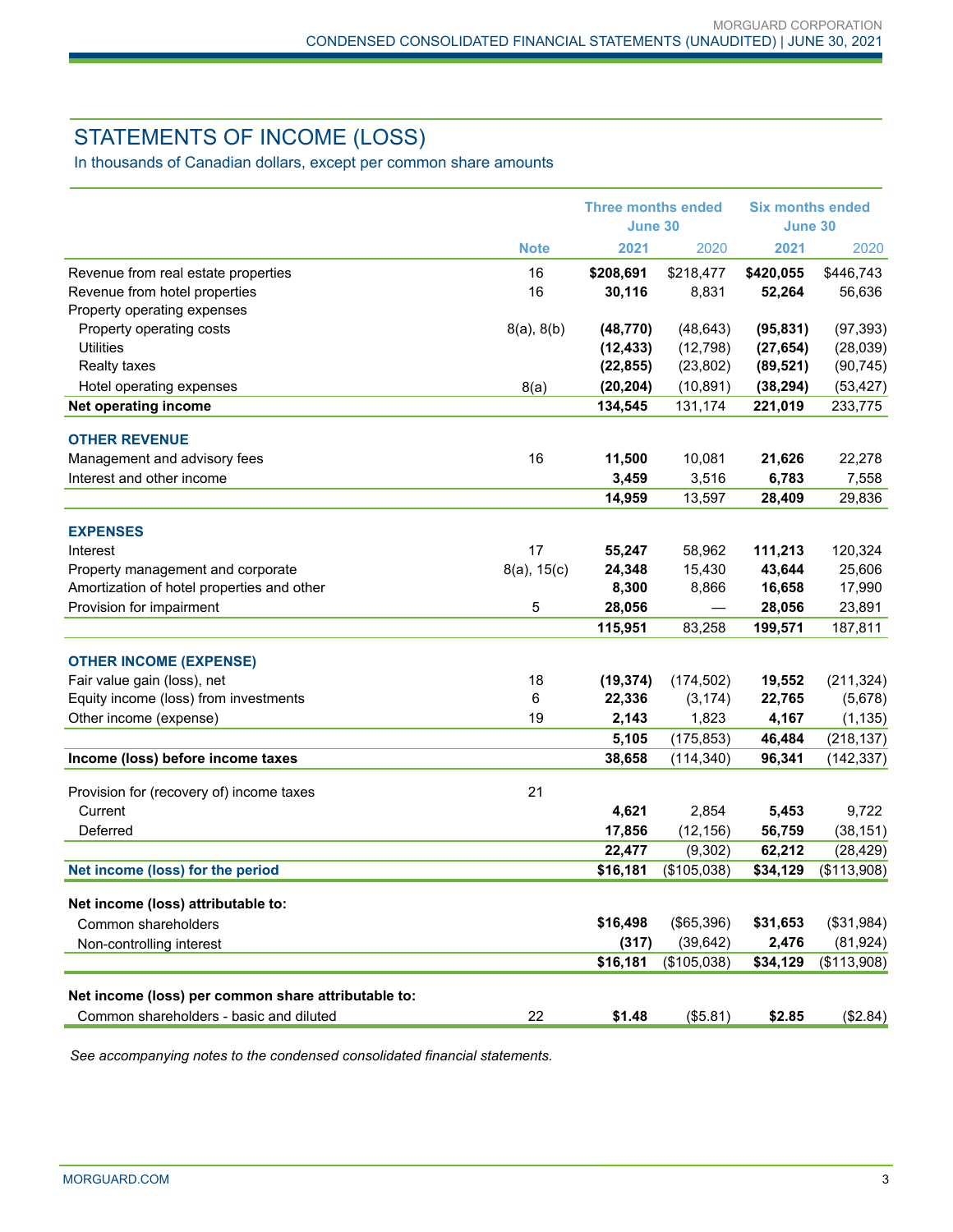# STATEMENTS OF INCOME (LOSS)

In thousands of Canadian dollars, except per common share amounts

|                                                                                                |                  | <b>Three months ended</b><br><b>June 30</b> |             | <b>Six months ended</b><br>June 30 |             |
|------------------------------------------------------------------------------------------------|------------------|---------------------------------------------|-------------|------------------------------------|-------------|
|                                                                                                | <b>Note</b>      | 2021                                        | 2020        | 2021                               | 2020        |
| Revenue from real estate properties                                                            | 16               | \$208,691                                   | \$218,477   | \$420,055                          | \$446,743   |
| Revenue from hotel properties                                                                  | 16               | 30,116                                      | 8,831       | 52,264                             | 56,636      |
| Property operating expenses                                                                    |                  |                                             |             |                                    |             |
| Property operating costs                                                                       | 8(a), 8(b)       | (48, 770)                                   | (48, 643)   | (95, 831)                          | (97, 393)   |
| Utilities                                                                                      |                  | (12, 433)                                   | (12, 798)   | (27, 654)                          | (28,039)    |
| <b>Realty taxes</b>                                                                            |                  | (22, 855)                                   | (23, 802)   | (89, 521)                          | (90, 745)   |
| Hotel operating expenses                                                                       | 8(a)             | (20, 204)                                   | (10, 891)   | (38, 294)                          | (53, 427)   |
| <b>Net operating income</b>                                                                    |                  | 134,545                                     | 131,174     | 221,019                            | 233,775     |
| <b>OTHER REVENUE</b>                                                                           |                  |                                             |             |                                    |             |
| Management and advisory fees                                                                   | 16               | 11,500                                      | 10,081      | 21,626                             | 22,278      |
| Interest and other income                                                                      |                  | 3,459                                       | 3,516       | 6,783                              | 7,558       |
|                                                                                                |                  | 14,959                                      | 13,597      | 28,409                             | 29,836      |
|                                                                                                |                  |                                             |             |                                    |             |
| <b>EXPENSES</b><br>Interest                                                                    | 17               | 55,247                                      | 58,962      | 111,213                            | 120,324     |
| Property management and corporate                                                              | $8(a)$ , $15(c)$ | 24,348                                      | 15,430      | 43,644                             | 25,606      |
| Amortization of hotel properties and other                                                     |                  | 8,300                                       | 8,866       | 16,658                             | 17,990      |
| Provision for impairment                                                                       | 5                | 28,056                                      |             | 28,056                             | 23,891      |
|                                                                                                |                  | 115,951                                     | 83,258      | 199,571                            | 187,811     |
|                                                                                                |                  |                                             |             |                                    |             |
| <b>OTHER INCOME (EXPENSE)</b>                                                                  |                  |                                             |             |                                    |             |
| Fair value gain (loss), net                                                                    | 18               | (19, 374)                                   | (174, 502)  | 19,552                             | (211, 324)  |
| Equity income (loss) from investments                                                          | 6                | 22,336                                      | (3, 174)    | 22,765                             | (5,678)     |
| Other income (expense)                                                                         | 19               | 2,143                                       | 1,823       | 4,167                              | (1, 135)    |
|                                                                                                |                  | 5,105                                       | (175, 853)  | 46,484                             | (218, 137)  |
| Income (loss) before income taxes                                                              |                  | 38,658                                      | (114, 340)  | 96,341                             | (142, 337)  |
| Provision for (recovery of) income taxes                                                       | 21               |                                             |             |                                    |             |
| Current                                                                                        |                  | 4,621                                       | 2,854       | 5,453                              | 9,722       |
| Deferred                                                                                       |                  | 17,856                                      | (12, 156)   | 56,759                             | (38, 151)   |
|                                                                                                |                  | 22,477                                      | (9,302)     | 62,212                             | (28, 429)   |
| Net income (loss) for the period                                                               |                  | \$16,181                                    | (\$105,038) | \$34,129                           | (\$113,908) |
| Net income (loss) attributable to:                                                             |                  |                                             |             |                                    |             |
| Common shareholders                                                                            |                  | \$16,498                                    | (\$65,396)  | \$31,653                           | (\$31,984)  |
| Non-controlling interest                                                                       |                  | (317)                                       | (39, 642)   | 2,476                              | (81, 924)   |
|                                                                                                |                  | \$16,181                                    | (\$105,038) | \$34,129                           | (\$113,908) |
|                                                                                                |                  |                                             |             |                                    |             |
| Net income (loss) per common share attributable to:<br>Common shareholders - basic and diluted | 22               | \$1.48                                      | (\$5.81)    | \$2.85                             | (\$2.84)    |
|                                                                                                |                  |                                             |             |                                    |             |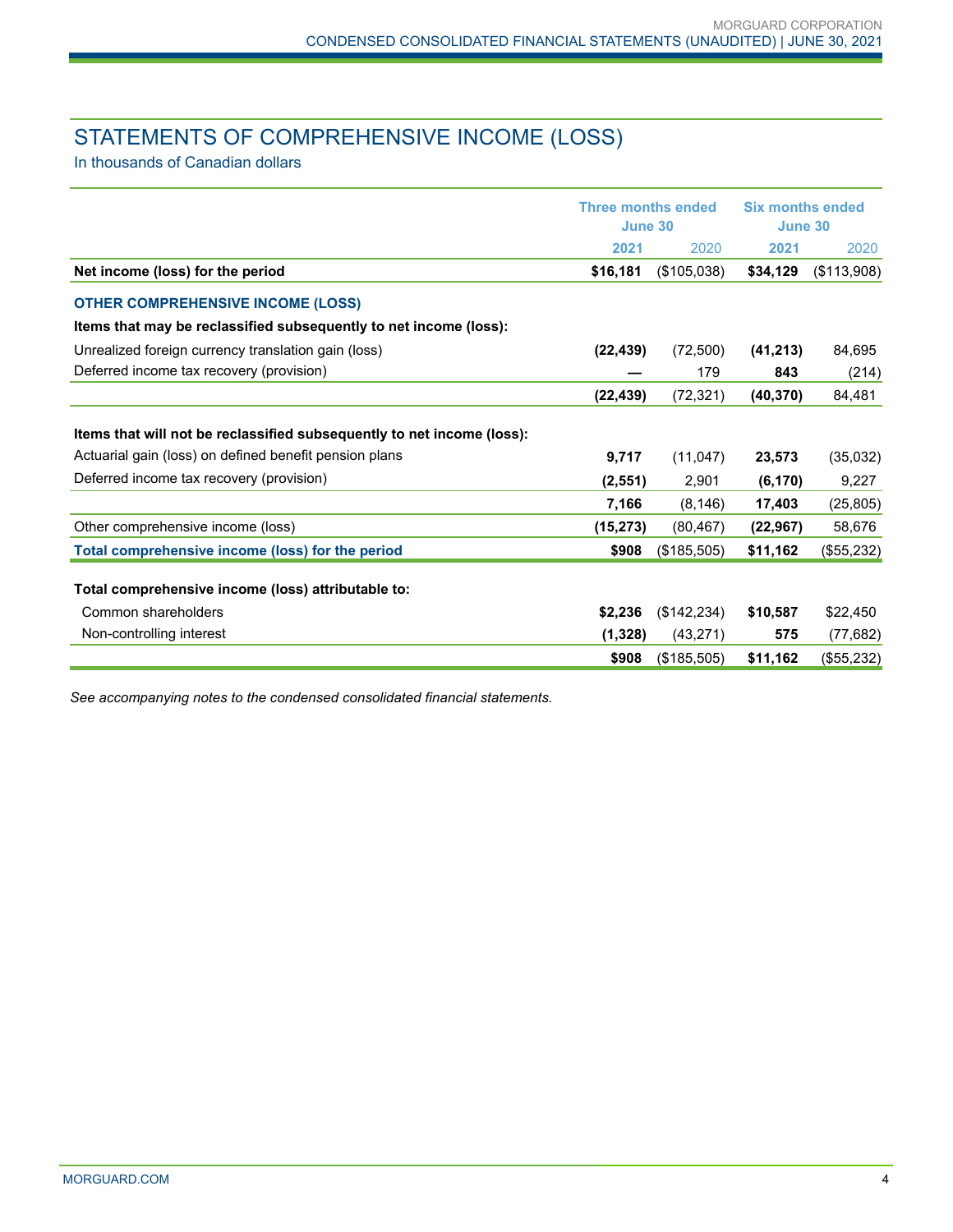# STATEMENTS OF COMPREHENSIVE INCOME (LOSS)

In thousands of Canadian dollars

|                                                                        | <b>Three months ended</b><br>June 30 |             | <b>Six months ended</b><br>June 30 |             |
|------------------------------------------------------------------------|--------------------------------------|-------------|------------------------------------|-------------|
|                                                                        | 2021                                 | 2020        | 2021                               | 2020        |
| Net income (loss) for the period                                       | \$16,181                             | (\$105,038) | \$34,129                           | (\$113,908) |
| <b>OTHER COMPREHENSIVE INCOME (LOSS)</b>                               |                                      |             |                                    |             |
| Items that may be reclassified subsequently to net income (loss):      |                                      |             |                                    |             |
| Unrealized foreign currency translation gain (loss)                    | (22, 439)                            | (72,500)    | (41, 213)                          | 84,695      |
| Deferred income tax recovery (provision)                               |                                      | 179         | 843                                | (214)       |
|                                                                        | (22, 439)                            | (72, 321)   | (40, 370)                          | 84,481      |
| Items that will not be reclassified subsequently to net income (loss): |                                      |             |                                    |             |
| Actuarial gain (loss) on defined benefit pension plans                 | 9,717                                | (11,047)    | 23,573                             | (35,032)    |
| Deferred income tax recovery (provision)                               | (2, 551)                             | 2,901       | (6, 170)                           | 9,227       |
|                                                                        | 7,166                                | (8, 146)    | 17,403                             | (25, 805)   |
| Other comprehensive income (loss)                                      | (15, 273)                            | (80, 467)   | (22, 967)                          | 58,676      |
| Total comprehensive income (loss) for the period                       | \$908                                | (\$185,505) | \$11,162                           | (\$55,232)  |
| Total comprehensive income (loss) attributable to:                     |                                      |             |                                    |             |
| Common shareholders                                                    | \$2,236                              | (\$142,234) | \$10,587                           | \$22,450    |
| Non-controlling interest                                               | (1, 328)                             | (43, 271)   | 575                                | (77, 682)   |
|                                                                        | \$908                                | (\$185,505) | \$11,162                           | (\$55,232)  |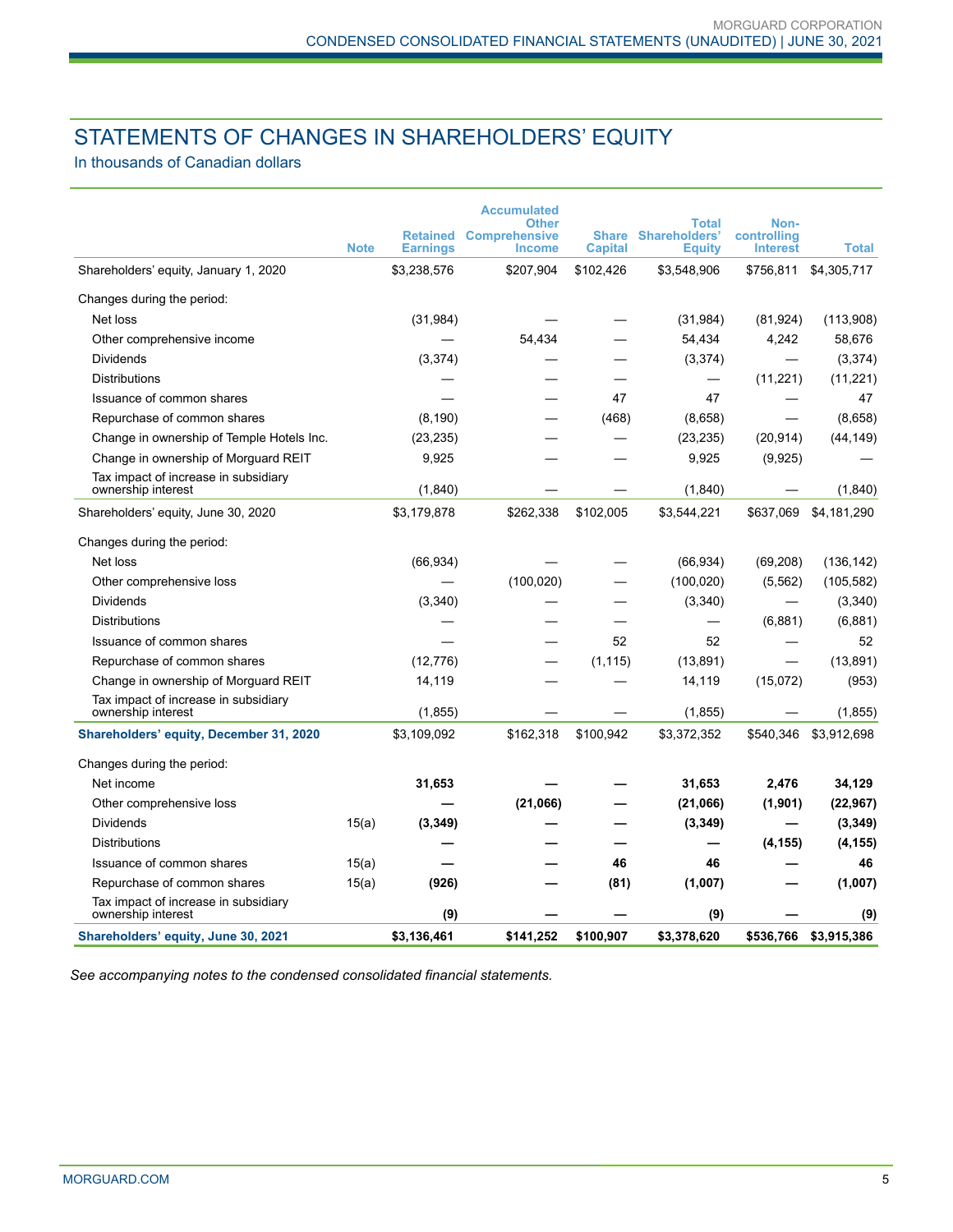# STATEMENTS OF CHANGES IN SHAREHOLDERS' EQUITY

In thousands of Canadian dollars

|                                                            |             |                                    | <b>Accumulated</b><br>Other           |                                |                                                | Non-                           |              |
|------------------------------------------------------------|-------------|------------------------------------|---------------------------------------|--------------------------------|------------------------------------------------|--------------------------------|--------------|
|                                                            | <b>Note</b> | <b>Retained</b><br><b>Earnings</b> | <b>Comprehensive</b><br><b>Income</b> | <b>Share</b><br><b>Capital</b> | Total<br><b>Shareholders'</b><br><b>Equity</b> | controlling<br><b>Interest</b> | <b>Total</b> |
| Shareholders' equity, January 1, 2020                      |             | \$3,238,576                        | \$207,904                             | \$102,426                      | \$3,548,906                                    | \$756,811                      | \$4,305,717  |
| Changes during the period:                                 |             |                                    |                                       |                                |                                                |                                |              |
| Net loss                                                   |             | (31, 984)                          |                                       |                                | (31, 984)                                      | (81, 924)                      | (113,908)    |
| Other comprehensive income                                 |             |                                    | 54,434                                |                                | 54,434                                         | 4,242                          | 58,676       |
| <b>Dividends</b>                                           |             | (3,374)                            |                                       |                                | (3,374)                                        |                                | (3,374)      |
| <b>Distributions</b>                                       |             |                                    |                                       |                                |                                                | (11,221)                       | (11,221)     |
| Issuance of common shares                                  |             |                                    |                                       | 47                             | 47                                             |                                | 47           |
| Repurchase of common shares                                |             | (8, 190)                           |                                       | (468)                          | (8,658)                                        |                                | (8,658)      |
| Change in ownership of Temple Hotels Inc.                  |             | (23, 235)                          |                                       |                                | (23, 235)                                      | (20, 914)                      | (44, 149)    |
| Change in ownership of Morguard REIT                       |             | 9,925                              |                                       |                                | 9,925                                          | (9,925)                        |              |
| Tax impact of increase in subsidiary<br>ownership interest |             | (1,840)                            |                                       |                                | (1, 840)                                       |                                | (1,840)      |
| Shareholders' equity, June 30, 2020                        |             | \$3,179,878                        | \$262,338                             | \$102,005                      | \$3,544,221                                    | \$637,069                      | \$4,181,290  |
| Changes during the period:                                 |             |                                    |                                       |                                |                                                |                                |              |
| Net loss                                                   |             | (66, 934)                          |                                       |                                | (66, 934)                                      | (69, 208)                      | (136, 142)   |
| Other comprehensive loss                                   |             |                                    | (100, 020)                            |                                | (100, 020)                                     | (5, 562)                       | (105, 582)   |
| <b>Dividends</b>                                           |             | (3,340)                            |                                       |                                | (3,340)                                        |                                | (3,340)      |
| <b>Distributions</b>                                       |             |                                    |                                       |                                | $\overline{\phantom{0}}$                       | (6,881)                        | (6,881)      |
| Issuance of common shares                                  |             |                                    |                                       | 52                             | 52                                             |                                | 52           |
| Repurchase of common shares                                |             | (12, 776)                          |                                       | (1, 115)                       | (13, 891)                                      |                                | (13, 891)    |
| Change in ownership of Morguard REIT                       |             | 14,119                             |                                       |                                | 14,119                                         | (15,072)                       | (953)        |
| Tax impact of increase in subsidiary<br>ownership interest |             | (1, 855)                           |                                       |                                | (1, 855)                                       |                                | (1, 855)     |
| <b>Shareholders' equity, December 31, 2020</b>             |             | \$3,109,092                        | \$162,318                             | \$100.942                      | \$3,372,352                                    | \$540,346                      | \$3,912,698  |
| Changes during the period:                                 |             |                                    |                                       |                                |                                                |                                |              |
| Net income                                                 |             | 31,653                             |                                       |                                | 31,653                                         | 2,476                          | 34,129       |
| Other comprehensive loss                                   |             |                                    | (21,066)                              |                                | (21,066)                                       | (1,901)                        | (22, 967)    |
| <b>Dividends</b>                                           | 15(a)       | (3, 349)                           |                                       |                                | (3, 349)                                       |                                | (3, 349)     |
| <b>Distributions</b>                                       |             |                                    |                                       |                                |                                                | (4, 155)                       | (4, 155)     |
| Issuance of common shares                                  | 15(a)       |                                    |                                       | 46                             | 46                                             |                                | 46           |
| Repurchase of common shares                                | 15(a)       | (926)                              |                                       | (81)                           | (1,007)                                        |                                | (1,007)      |
| Tax impact of increase in subsidiary<br>ownership interest |             | (9)                                |                                       |                                | (9)                                            |                                | (9)          |
| Shareholders' equity, June 30, 2021                        |             | \$3,136,461                        | \$141.252                             | \$100.907                      | \$3.378.620                                    | \$536,766                      | \$3.915.386  |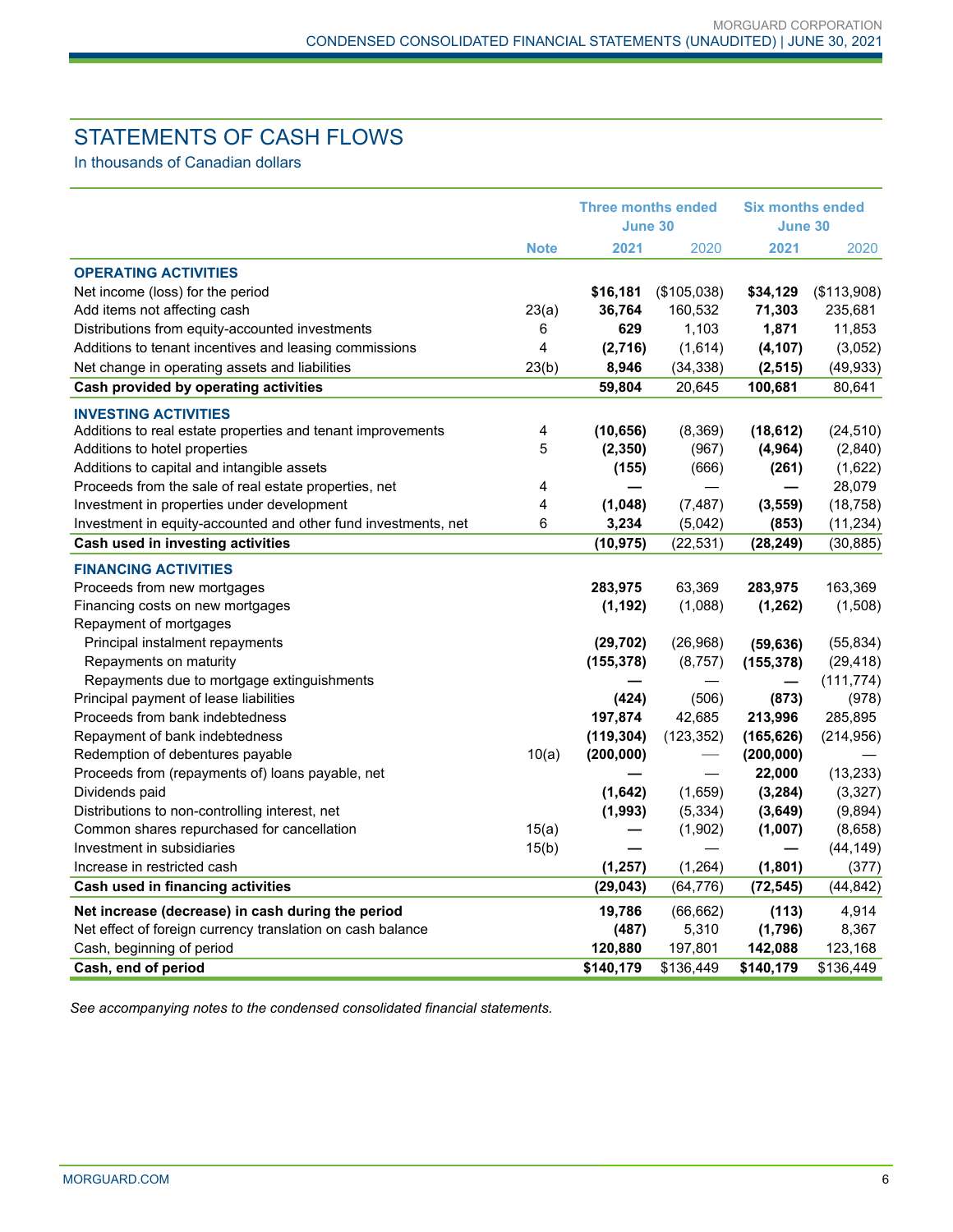# STATEMENTS OF CASH FLOWS

In thousands of Canadian dollars

|                                                                                            |             |            | <b>Three months ended</b><br>June 30 |                          | <b>Six months ended</b><br>June 30 |  |
|--------------------------------------------------------------------------------------------|-------------|------------|--------------------------------------|--------------------------|------------------------------------|--|
|                                                                                            | <b>Note</b> | 2021       | 2020                                 | 2021                     | 2020                               |  |
| <b>OPERATING ACTIVITIES</b>                                                                |             |            |                                      |                          |                                    |  |
| Net income (loss) for the period                                                           |             | \$16,181   | (\$105,038)                          | \$34,129                 | (\$113,908)                        |  |
| Add items not affecting cash                                                               | 23(a)       | 36,764     | 160,532                              | 71,303                   | 235,681                            |  |
| Distributions from equity-accounted investments                                            | 6           | 629        | 1,103                                | 1,871                    | 11,853                             |  |
| Additions to tenant incentives and leasing commissions                                     | 4           | (2,716)    | (1,614)                              | (4, 107)                 | (3,052)                            |  |
| Net change in operating assets and liabilities                                             | 23(b)       | 8,946      | (34, 338)                            | (2, 515)                 | (49, 933)                          |  |
| Cash provided by operating activities                                                      |             | 59,804     | 20,645                               | 100,681                  | 80,641                             |  |
|                                                                                            |             |            |                                      |                          |                                    |  |
| <b>INVESTING ACTIVITIES</b><br>Additions to real estate properties and tenant improvements | 4           | (10, 656)  | (8,369)                              | (18, 612)                | (24, 510)                          |  |
| Additions to hotel properties                                                              | 5           | (2, 350)   | (967)                                | (4, 964)                 | (2,840)                            |  |
| Additions to capital and intangible assets                                                 |             | (155)      | (666)                                | (261)                    | (1,622)                            |  |
| Proceeds from the sale of real estate properties, net                                      | 4           |            |                                      | $\overline{\phantom{0}}$ | 28,079                             |  |
| Investment in properties under development                                                 | 4           | (1,048)    | (7, 487)                             | (3, 559)                 | (18, 758)                          |  |
| Investment in equity-accounted and other fund investments, net                             | 6           | 3,234      | (5,042)                              | (853)                    | (11, 234)                          |  |
| Cash used in investing activities                                                          |             | (10, 975)  | (22, 531)                            | (28, 249)                | (30, 885)                          |  |
| <b>FINANCING ACTIVITIES</b>                                                                |             |            |                                      |                          |                                    |  |
| Proceeds from new mortgages                                                                |             | 283,975    | 63,369                               | 283,975                  | 163,369                            |  |
| Financing costs on new mortgages                                                           |             | (1, 192)   | (1,088)                              | (1, 262)                 | (1,508)                            |  |
| Repayment of mortgages                                                                     |             |            |                                      |                          |                                    |  |
| Principal instalment repayments                                                            |             | (29, 702)  | (26,968)                             | (59, 636)                | (55, 834)                          |  |
| Repayments on maturity                                                                     |             | (155, 378) | (8, 757)                             | (155, 378)               | (29, 418)                          |  |
| Repayments due to mortgage extinguishments                                                 |             |            |                                      |                          | (111, 774)                         |  |
| Principal payment of lease liabilities                                                     |             | (424)      | (506)                                | (873)                    | (978)                              |  |
| Proceeds from bank indebtedness                                                            |             | 197,874    | 42,685                               | 213,996                  | 285,895                            |  |
| Repayment of bank indebtedness                                                             |             | (119, 304) | (123, 352)                           | (165, 626)               | (214, 956)                         |  |
| Redemption of debentures payable                                                           | 10(a)       | (200, 000) |                                      | (200, 000)               |                                    |  |
| Proceeds from (repayments of) loans payable, net                                           |             |            |                                      | 22,000                   | (13, 233)                          |  |
| Dividends paid                                                                             |             | (1,642)    | (1,659)                              | (3,284)                  | (3, 327)                           |  |
| Distributions to non-controlling interest, net                                             |             | (1,993)    | (5, 334)                             | (3,649)                  | (9,894)                            |  |
| Common shares repurchased for cancellation                                                 | 15(a)       |            | (1,902)                              | (1,007)                  | (8,658)                            |  |
| Investment in subsidiaries                                                                 | 15(b)       |            |                                      |                          | (44, 149)                          |  |
| Increase in restricted cash                                                                |             | (1, 257)   | (1,264)                              | (1,801)                  | (377)                              |  |
| Cash used in financing activities                                                          |             | (29, 043)  | (64, 776)                            | (72, 545)                | (44, 842)                          |  |
| Net increase (decrease) in cash during the period                                          |             | 19,786     | (66, 662)                            | (113)                    | 4,914                              |  |
| Net effect of foreign currency translation on cash balance                                 |             | (487)      | 5,310                                | (1,796)                  | 8,367                              |  |
| Cash, beginning of period                                                                  |             | 120,880    | 197,801                              | 142,088                  | 123,168                            |  |
| Cash, end of period                                                                        |             | \$140,179  | \$136,449                            | \$140,179                | \$136,449                          |  |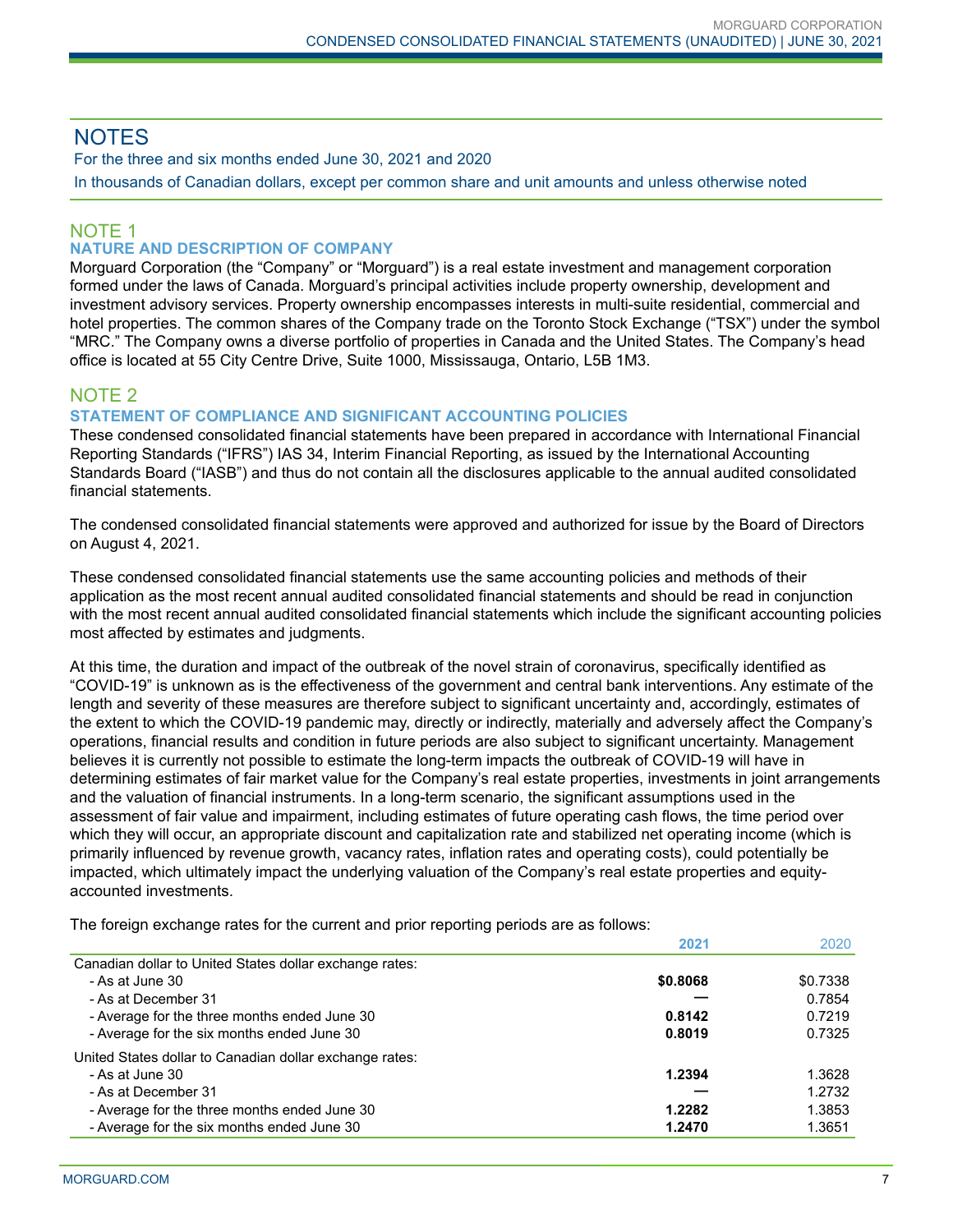# **NOTES**

For the three and six months ended June 30, 2021 and 2020 In thousands of Canadian dollars, except per common share and unit amounts and unless otherwise noted

# NOTE 1

# **NATURE AND DESCRIPTION OF COMPANY**

Morguard Corporation (the "Company" or "Morguard") is a real estate investment and management corporation formed under the laws of Canada. Morguard's principal activities include property ownership, development and investment advisory services. Property ownership encompasses interests in multi-suite residential, commercial and hotel properties. The common shares of the Company trade on the Toronto Stock Exchange ("TSX") under the symbol "MRC." The Company owns a diverse portfolio of properties in Canada and the United States. The Company's head office is located at 55 City Centre Drive, Suite 1000, Mississauga, Ontario, L5B 1M3.

# NOTE 2

# **STATEMENT OF COMPLIANCE AND SIGNIFICANT ACCOUNTING POLICIES**

These condensed consolidated financial statements have been prepared in accordance with International Financial Reporting Standards ("IFRS") IAS 34, Interim Financial Reporting, as issued by the International Accounting Standards Board ("IASB") and thus do not contain all the disclosures applicable to the annual audited consolidated financial statements.

The condensed consolidated financial statements were approved and authorized for issue by the Board of Directors on August 4, 2021.

These condensed consolidated financial statements use the same accounting policies and methods of their application as the most recent annual audited consolidated financial statements and should be read in conjunction with the most recent annual audited consolidated financial statements which include the significant accounting policies most affected by estimates and judgments.

At this time, the duration and impact of the outbreak of the novel strain of coronavirus, specifically identified as "COVID-19" is unknown as is the effectiveness of the government and central bank interventions. Any estimate of the length and severity of these measures are therefore subject to significant uncertainty and, accordingly, estimates of the extent to which the COVID-19 pandemic may, directly or indirectly, materially and adversely affect the Company's operations, financial results and condition in future periods are also subject to significant uncertainty. Management believes it is currently not possible to estimate the long-term impacts the outbreak of COVID-19 will have in determining estimates of fair market value for the Company's real estate properties, investments in joint arrangements and the valuation of financial instruments. In a long-term scenario, the significant assumptions used in the assessment of fair value and impairment, including estimates of future operating cash flows, the time period over which they will occur, an appropriate discount and capitalization rate and stabilized net operating income (which is primarily influenced by revenue growth, vacancy rates, inflation rates and operating costs), could potentially be impacted, which ultimately impact the underlying valuation of the Company's real estate properties and equityaccounted investments.

The foreign exchange rates for the current and prior reporting periods are as follows:

|                                                         | 2021     | 2020     |
|---------------------------------------------------------|----------|----------|
| Canadian dollar to United States dollar exchange rates: |          |          |
| - As at June 30                                         | \$0.8068 | \$0.7338 |
| - As at December 31                                     |          | 0.7854   |
| - Average for the three months ended June 30            | 0.8142   | 0.7219   |
| - Average for the six months ended June 30              | 0.8019   | 0.7325   |
| United States dollar to Canadian dollar exchange rates: |          |          |
| - As at June 30                                         | 1.2394   | 1.3628   |
| - As at December 31                                     |          | 1.2732   |
| - Average for the three months ended June 30            | 1.2282   | 1.3853   |
| - Average for the six months ended June 30              | 1.2470   | 1.3651   |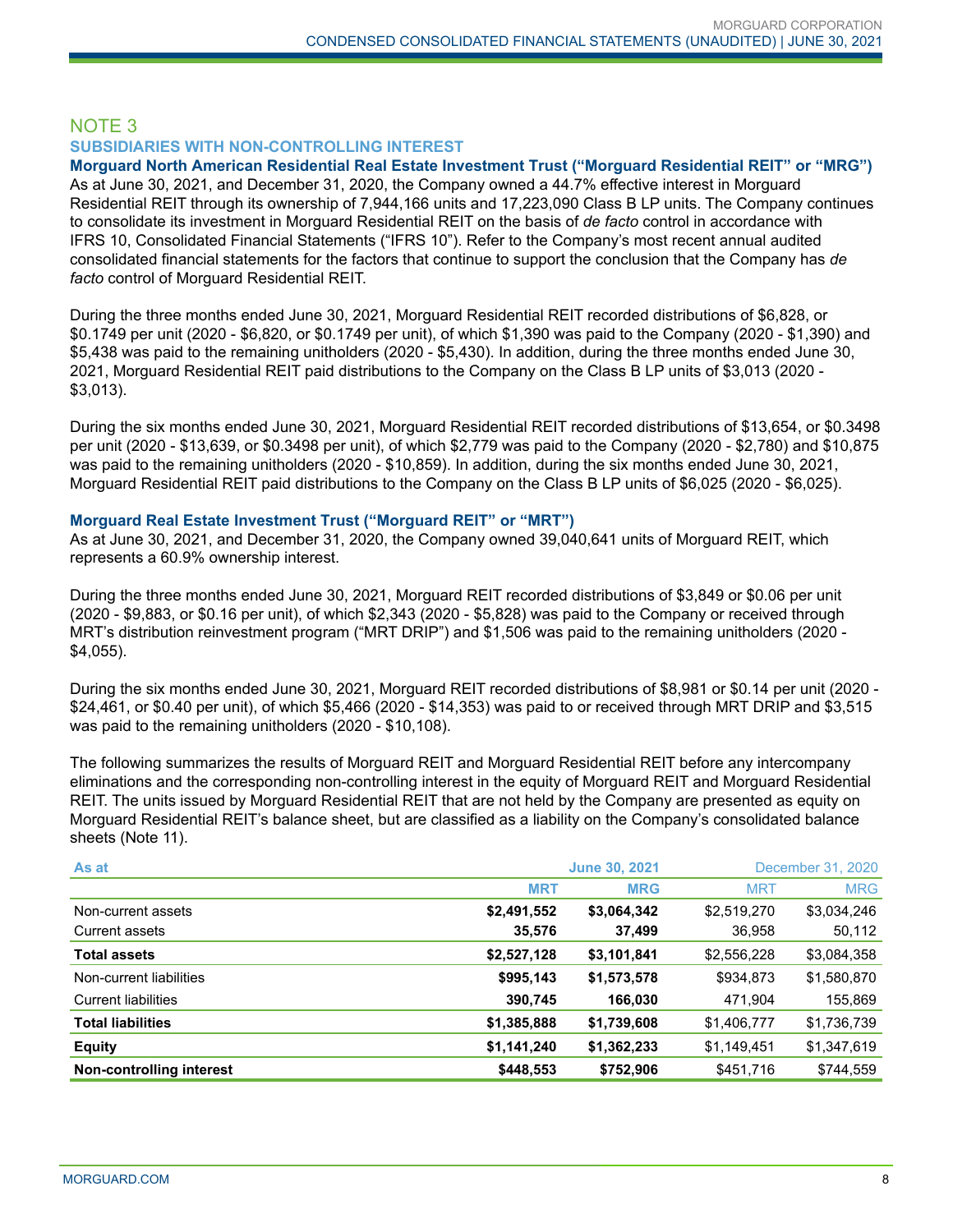# NOTE 3 **SUBSIDIARIES WITH NON-CONTROLLING INTEREST**

**Morguard North American Residential Real Estate Investment Trust ("Morguard Residential REIT" or "MRG")** As at June 30, 2021, and December 31, 2020, the Company owned a 44.7% effective interest in Morguard Residential REIT through its ownership of 7,944,166 units and 17,223,090 Class B LP units. The Company continues to consolidate its investment in Morguard Residential REIT on the basis of *de facto* control in accordance with IFRS 10, Consolidated Financial Statements ("IFRS 10"). Refer to the Company's most recent annual audited consolidated financial statements for the factors that continue to support the conclusion that the Company has *de facto* control of Morguard Residential REIT.

During the three months ended June 30, 2021, Morguard Residential REIT recorded distributions of \$6,828, or \$0.1749 per unit (2020 - \$6,820, or \$0.1749 per unit), of which \$1,390 was paid to the Company (2020 - \$1,390) and \$5,438 was paid to the remaining unitholders (2020 - \$5,430). In addition, during the three months ended June 30, 2021, Morguard Residential REIT paid distributions to the Company on the Class B LP units of \$3,013 (2020 - \$3,013).

During the six months ended June 30, 2021, Morguard Residential REIT recorded distributions of \$13,654, or \$0.3498 per unit (2020 - \$13,639, or \$0.3498 per unit), of which \$2,779 was paid to the Company (2020 - \$2,780) and \$10,875 was paid to the remaining unitholders (2020 - \$10,859). In addition, during the six months ended June 30, 2021, Morguard Residential REIT paid distributions to the Company on the Class B LP units of \$6,025 (2020 - \$6,025).

#### **Morguard Real Estate Investment Trust ("Morguard REIT" or "MRT")**

As at June 30, 2021, and December 31, 2020, the Company owned 39,040,641 units of Morguard REIT, which represents a 60.9% ownership interest.

During the three months ended June 30, 2021, Morguard REIT recorded distributions of \$3,849 or \$0.06 per unit (2020 - \$9,883, or \$0.16 per unit), of which \$2,343 (2020 - \$5,828) was paid to the Company or received through MRT's distribution reinvestment program ("MRT DRIP") and \$1,506 was paid to the remaining unitholders (2020 - \$4,055).

During the six months ended June 30, 2021, Morguard REIT recorded distributions of \$8,981 or \$0.14 per unit (2020 - \$24,461, or \$0.40 per unit), of which \$5,466 (2020 - \$14,353) was paid to or received through MRT DRIP and \$3,515 was paid to the remaining unitholders (2020 - \$10,108).

The following summarizes the results of Morguard REIT and Morguard Residential REIT before any intercompany eliminations and the corresponding non-controlling interest in the equity of Morguard REIT and Morguard Residential REIT. The units issued by Morguard Residential REIT that are not held by the Company are presented as equity on Morguard Residential REIT's balance sheet, but are classified as a liability on the Company's consolidated balance sheets (Note 11).

| As at                      |             | <b>June 30, 2021</b> | December 31, 2020 |             |  |
|----------------------------|-------------|----------------------|-------------------|-------------|--|
|                            | <b>MRT</b>  | <b>MRG</b>           | <b>MRT</b>        | <b>MRG</b>  |  |
| Non-current assets         | \$2,491,552 | \$3,064,342          | \$2,519,270       | \$3,034,246 |  |
| <b>Current assets</b>      | 35,576      | 37,499               | 36,958            | 50,112      |  |
| <b>Total assets</b>        | \$2,527,128 | \$3,101,841          | \$2,556,228       | \$3,084,358 |  |
| Non-current liabilities    | \$995,143   | \$1,573,578          | \$934,873         | \$1,580,870 |  |
| <b>Current liabilities</b> | 390,745     | 166,030              | 471,904           | 155,869     |  |
| <b>Total liabilities</b>   | \$1,385,888 | \$1,739,608          | \$1,406,777       | \$1,736,739 |  |
| <b>Equity</b>              | \$1,141,240 | \$1,362,233          | \$1,149,451       | \$1,347,619 |  |
| Non-controlling interest   | \$448,553   | \$752,906            | \$451,716         | \$744,559   |  |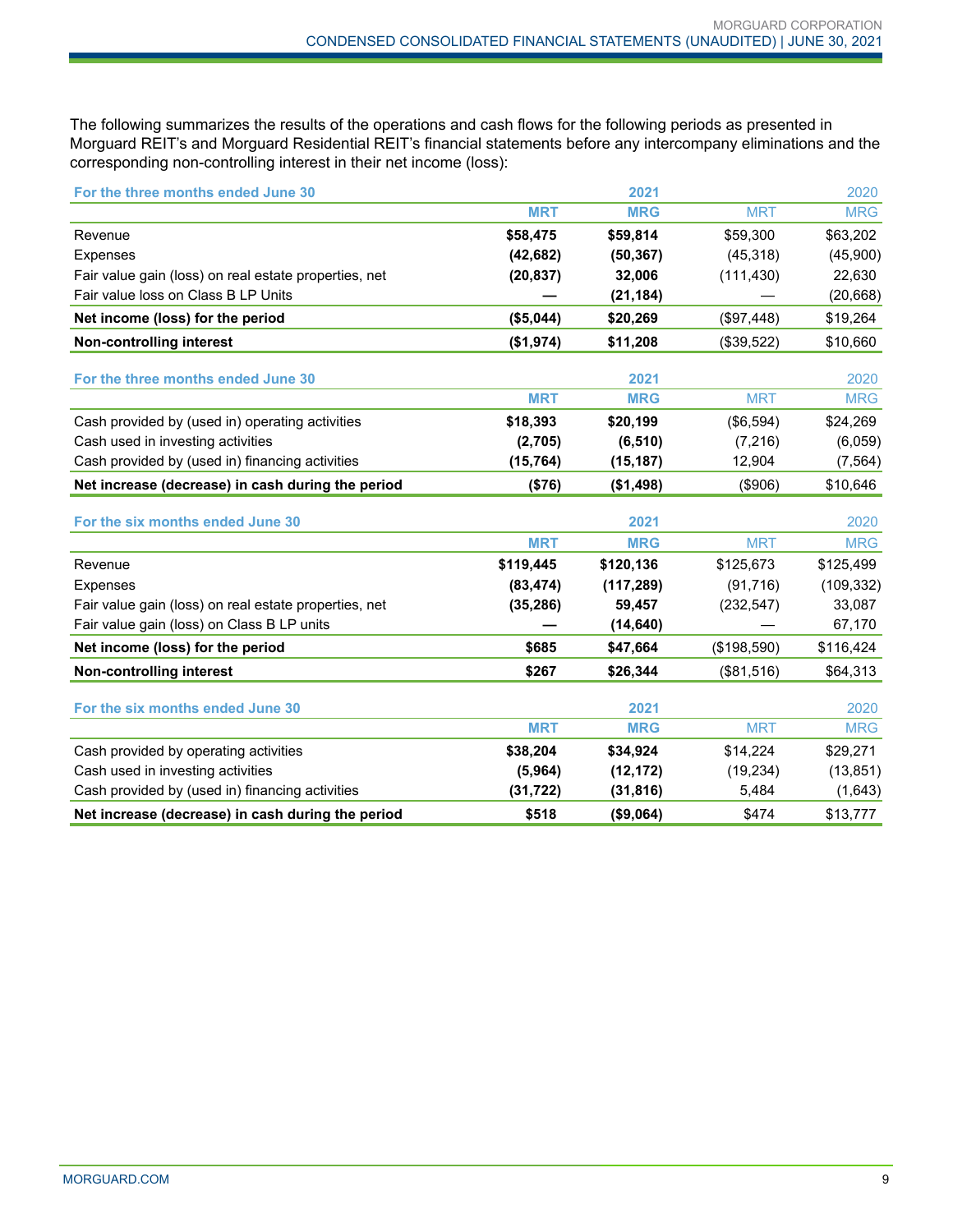The following summarizes the results of the operations and cash flows for the following periods as presented in Morguard REIT's and Morguard Residential REIT's financial statements before any intercompany eliminations and the corresponding non-controlling interest in their net income (loss):

| For the three months ended June 30                    |            | 2021       |             | 2020       |
|-------------------------------------------------------|------------|------------|-------------|------------|
|                                                       | <b>MRT</b> | <b>MRG</b> | <b>MRT</b>  | <b>MRG</b> |
| Revenue                                               | \$58,475   | \$59,814   | \$59,300    | \$63,202   |
| <b>Expenses</b>                                       | (42, 682)  | (50, 367)  | (45, 318)   | (45,900)   |
| Fair value gain (loss) on real estate properties, net | (20, 837)  | 32,006     | (111, 430)  | 22,630     |
| Fair value loss on Class B LP Units                   |            | (21, 184)  |             | (20, 668)  |
| Net income (loss) for the period                      | (\$5,044)  | \$20,269   | (\$97,448)  | \$19,264   |
| <b>Non-controlling interest</b>                       | (\$1,974)  | \$11,208   | (\$39,522)  | \$10,660   |
| For the three months ended June 30                    |            | 2021       |             | 2020       |
|                                                       | <b>MRT</b> | <b>MRG</b> | <b>MRT</b>  | <b>MRG</b> |
| Cash provided by (used in) operating activities       | \$18,393   | \$20,199   | (\$6,594)   | \$24,269   |
| Cash used in investing activities                     | (2,705)    | (6, 510)   | (7, 216)    | (6,059)    |
| Cash provided by (used in) financing activities       | (15, 764)  | (15, 187)  | 12,904      | (7, 564)   |
| Net increase (decrease) in cash during the period     | (\$76)     | (\$1,498)  | (\$906)     | \$10,646   |
| For the six months ended June 30                      |            | 2021       |             | 2020       |
|                                                       | <b>MRT</b> | <b>MRG</b> | <b>MRT</b>  | <b>MRG</b> |
| Revenue                                               | \$119,445  | \$120,136  | \$125,673   | \$125,499  |
| <b>Expenses</b>                                       | (83, 474)  | (117, 289) | (91, 716)   | (109, 332) |
| Fair value gain (loss) on real estate properties, net | (35, 286)  | 59,457     | (232, 547)  | 33,087     |
| Fair value gain (loss) on Class B LP units            |            | (14, 640)  |             | 67,170     |
| Net income (loss) for the period                      | \$685      | \$47,664   | (\$198,590) | \$116,424  |
| <b>Non-controlling interest</b>                       | \$267      | \$26.344   | (\$81,516)  | \$64,313   |
| For the six months ended June 30                      |            | 2021       |             | 2020       |
|                                                       | <b>MRT</b> | <b>MRG</b> | <b>MRT</b>  | <b>MRG</b> |
| Cash provided by operating activities                 | \$38,204   | \$34,924   | \$14,224    | \$29,271   |
| Cash used in investing activities                     | (5,964)    | (12, 172)  | (19, 234)   | (13, 851)  |
| Cash provided by (used in) financing activities       | (31, 722)  | (31, 816)  | 5,484       | (1,643)    |
| Net increase (decrease) in cash during the period     | \$518      | (\$9,064)  | \$474       | \$13,777   |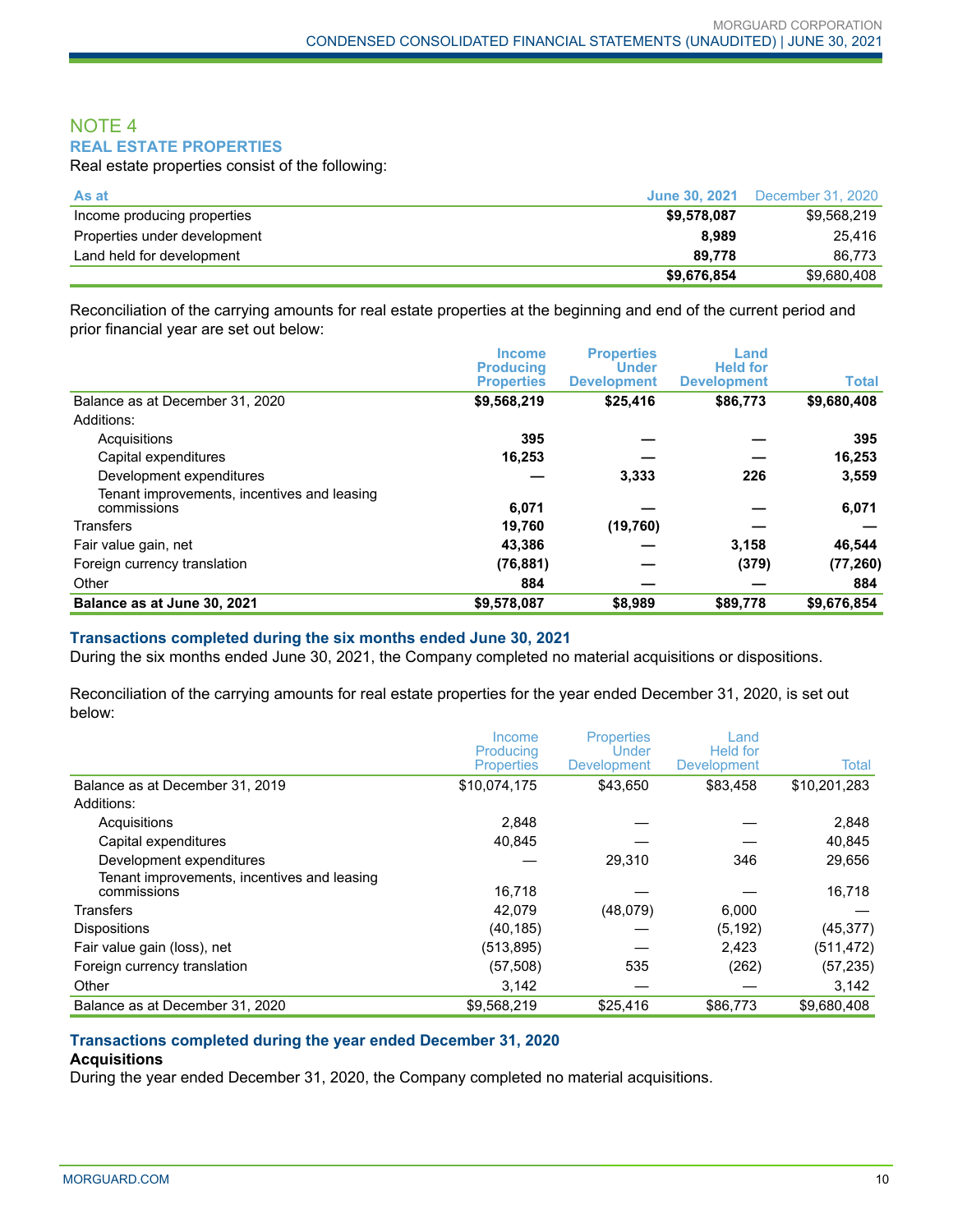## NOTE 4 **REAL ESTATE PROPERTIES**

Real estate properties consist of the following:

| As at                        | <b>June 30, 2021</b> | December 31, 2020 |
|------------------------------|----------------------|-------------------|
| Income producing properties  | \$9,578,087          | \$9.568.219       |
| Properties under development | 8.989                | 25.416            |
| Land held for development    | 89.778               | 86.773            |
|                              | \$9,676,854          | \$9.680.408       |

Reconciliation of the carrying amounts for real estate properties at the beginning and end of the current period and prior financial year are set out below:

|                                                            | <b>Income</b><br><b>Producing</b> | <b>Properties</b><br><b>Under</b> | Land<br><b>Held for</b> |              |
|------------------------------------------------------------|-----------------------------------|-----------------------------------|-------------------------|--------------|
|                                                            | <b>Properties</b>                 | <b>Development</b>                | <b>Development</b>      | <b>Total</b> |
| Balance as at December 31, 2020                            | \$9,568,219                       | \$25,416                          | \$86,773                | \$9,680,408  |
| Additions:                                                 |                                   |                                   |                         |              |
| Acquisitions                                               | 395                               |                                   |                         | 395          |
| Capital expenditures                                       | 16,253                            |                                   |                         | 16,253       |
| Development expenditures                                   |                                   | 3,333                             | 226                     | 3,559        |
| Tenant improvements, incentives and leasing<br>commissions | 6,071                             |                                   |                         | 6,071        |
| <b>Transfers</b>                                           | 19,760                            | (19,760)                          |                         |              |
| Fair value gain, net                                       | 43,386                            |                                   | 3,158                   | 46,544       |
| Foreign currency translation                               | (76, 881)                         |                                   | (379)                   | (77, 260)    |
| Other                                                      | 884                               |                                   |                         | 884          |
| Balance as at June 30, 2021                                | \$9,578,087                       | \$8,989                           | \$89,778                | \$9,676,854  |

#### **Transactions completed during the six months ended June 30, 2021**

During the six months ended June 30, 2021, the Company completed no material acquisitions or dispositions.

Reconciliation of the carrying amounts for real estate properties for the year ended December 31, 2020, is set out below:

|                                                            | Income<br>Producing | <b>Properties</b><br>Under | Land<br><b>Held</b> for |              |
|------------------------------------------------------------|---------------------|----------------------------|-------------------------|--------------|
|                                                            | <b>Properties</b>   | <b>Development</b>         | Development             | Total        |
| Balance as at December 31, 2019                            | \$10,074,175        | \$43,650                   | \$83,458                | \$10,201,283 |
| Additions:                                                 |                     |                            |                         |              |
| Acquisitions                                               | 2.848               |                            |                         | 2,848        |
| Capital expenditures                                       | 40.845              |                            |                         | 40,845       |
| Development expenditures                                   |                     | 29,310                     | 346                     | 29,656       |
| Tenant improvements, incentives and leasing<br>commissions | 16.718              |                            |                         | 16,718       |
| <b>Transfers</b>                                           | 42,079              | (48,079)                   | 6,000                   |              |
| <b>Dispositions</b>                                        | (40, 185)           |                            | (5, 192)                | (45, 377)    |
| Fair value gain (loss), net                                | (513, 895)          |                            | 2,423                   | (511, 472)   |
| Foreign currency translation                               | (57, 508)           | 535                        | (262)                   | (57,235)     |
| Other                                                      | 3,142               |                            |                         | 3,142        |
| Balance as at December 31, 2020                            | \$9,568,219         | \$25,416                   | \$86,773                | \$9,680,408  |

# **Transactions completed during the year ended December 31, 2020**

#### **Acquisitions**

During the year ended December 31, 2020, the Company completed no material acquisitions.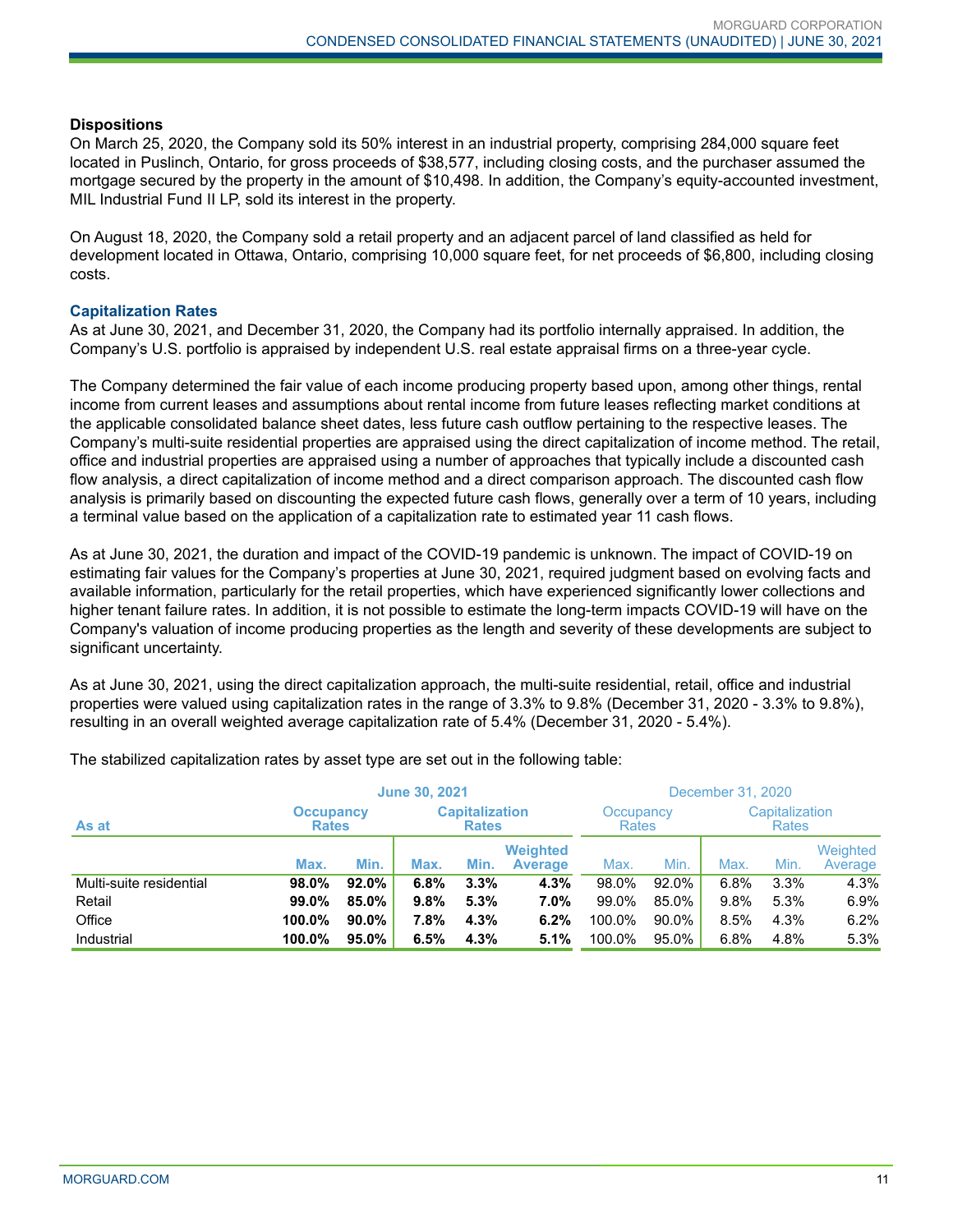#### **Dispositions**

On March 25, 2020, the Company sold its 50% interest in an industrial property, comprising 284,000 square feet located in Puslinch, Ontario, for gross proceeds of \$38,577, including closing costs, and the purchaser assumed the mortgage secured by the property in the amount of \$10,498. In addition, the Company's equity-accounted investment, MIL Industrial Fund II LP, sold its interest in the property.

On August 18, 2020, the Company sold a retail property and an adjacent parcel of land classified as held for development located in Ottawa, Ontario, comprising 10,000 square feet, for net proceeds of \$6,800, including closing costs.

#### **Capitalization Rates**

As at June 30, 2021, and December 31, 2020, the Company had its portfolio internally appraised. In addition, the Company's U.S. portfolio is appraised by independent U.S. real estate appraisal firms on a three-year cycle.

The Company determined the fair value of each income producing property based upon, among other things, rental income from current leases and assumptions about rental income from future leases reflecting market conditions at the applicable consolidated balance sheet dates, less future cash outflow pertaining to the respective leases. The Company's multi-suite residential properties are appraised using the direct capitalization of income method. The retail, office and industrial properties are appraised using a number of approaches that typically include a discounted cash flow analysis, a direct capitalization of income method and a direct comparison approach. The discounted cash flow analysis is primarily based on discounting the expected future cash flows, generally over a term of 10 years, including a terminal value based on the application of a capitalization rate to estimated year 11 cash flows.

As at June 30, 2021, the duration and impact of the COVID-19 pandemic is unknown. The impact of COVID-19 on estimating fair values for the Company's properties at June 30, 2021, required judgment based on evolving facts and available information, particularly for the retail properties, which have experienced significantly lower collections and higher tenant failure rates. In addition, it is not possible to estimate the long-term impacts COVID-19 will have on the Company's valuation of income producing properties as the length and severity of these developments are subject to significant uncertainty.

As at June 30, 2021, using the direct capitalization approach, the multi-suite residential, retail, office and industrial properties were valued using capitalization rates in the range of 3.3% to 9.8% (December 31, 2020 - 3.3% to 9.8%), resulting in an overall weighted average capitalization rate of 5.4% (December 31, 2020 - 5.4%).

|                         | <b>June 30, 2021</b>                                                      |       |      |      |                                   | December 31, 2020 |       |                                |      |                     |
|-------------------------|---------------------------------------------------------------------------|-------|------|------|-----------------------------------|-------------------|-------|--------------------------------|------|---------------------|
| As at                   | <b>Capitalization</b><br><b>Occupancy</b><br><b>Rates</b><br><b>Rates</b> |       |      |      | Occupancy<br><b>Rates</b>         |                   |       | Capitalization<br><b>Rates</b> |      |                     |
|                         | Max.                                                                      | Min.  | Max. | Min. | <b>Weighted</b><br><b>Average</b> | Max.              | Min.  | Max.                           | Min. | Weighted<br>Average |
| Multi-suite residential | 98.0%                                                                     | 92.0% | 6.8% | 3.3% | 4.3%                              | 98.0%             | 92.0% | 6.8%                           | 3.3% | 4.3%                |
| Retail                  | 99.0%                                                                     | 85.0% | 9.8% | 5.3% | 7.0%                              | 99.0%             | 85.0% | 9.8%                           | 5.3% | 6.9%                |
| Office                  | 100.0%                                                                    | 90.0% | 7.8% | 4.3% | 6.2%                              | 100.0%            | 90.0% | 8.5%                           | 4.3% | 6.2%                |
| Industrial              | 100.0%                                                                    | 95.0% | 6.5% | 4.3% | 5.1%                              | 100.0%            | 95.0% | 6.8%                           | 4.8% | 5.3%                |

The stabilized capitalization rates by asset type are set out in the following table: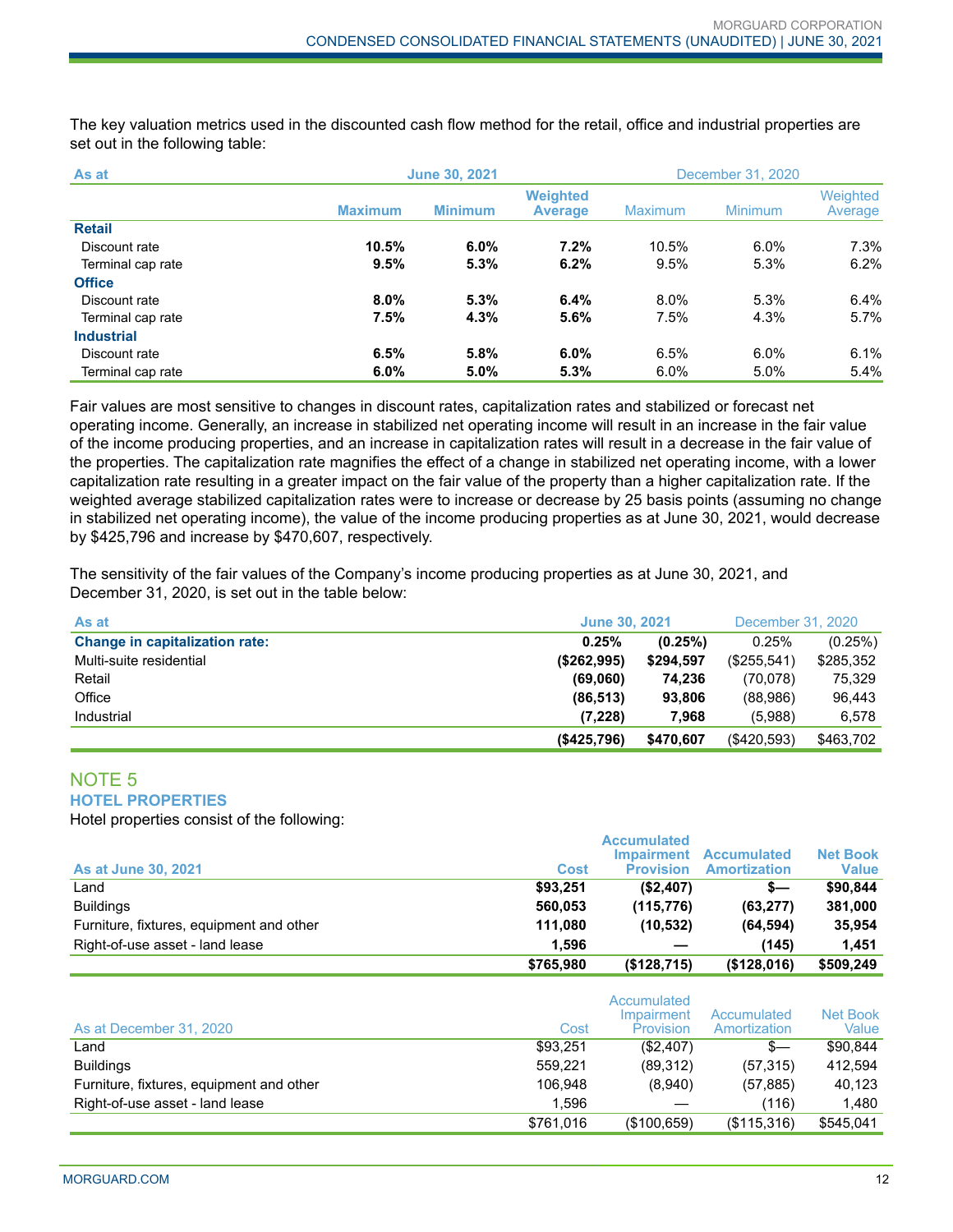The key valuation metrics used in the discounted cash flow method for the retail, office and industrial properties are set out in the following table:

| As at             |                | <b>June 30, 2021</b> |                                   |                | December 31, 2020 |                     |  |
|-------------------|----------------|----------------------|-----------------------------------|----------------|-------------------|---------------------|--|
|                   | <b>Maximum</b> | <b>Minimum</b>       | <b>Weighted</b><br><b>Average</b> | <b>Maximum</b> | Minimum           | Weighted<br>Average |  |
| <b>Retail</b>     |                |                      |                                   |                |                   |                     |  |
| Discount rate     | 10.5%          | $6.0\%$              | 7.2%                              | 10.5%          | 6.0%              | $7.3\%$             |  |
| Terminal cap rate | 9.5%           | 5.3%                 | 6.2%                              | $9.5\%$        | 5.3%              | 6.2%                |  |
| <b>Office</b>     |                |                      |                                   |                |                   |                     |  |
| Discount rate     | $8.0\%$        | 5.3%                 | 6.4%                              | 8.0%           | 5.3%              | 6.4%                |  |
| Terminal cap rate | 7.5%           | 4.3%                 | 5.6%                              | 7.5%           | 4.3%              | 5.7%                |  |
| <b>Industrial</b> |                |                      |                                   |                |                   |                     |  |
| Discount rate     | 6.5%           | 5.8%                 | 6.0%                              | 6.5%           | 6.0%              | 6.1%                |  |
| Terminal cap rate | 6.0%           | 5.0%                 | 5.3%                              | 6.0%           | 5.0%              | 5.4%                |  |

Fair values are most sensitive to changes in discount rates, capitalization rates and stabilized or forecast net operating income. Generally, an increase in stabilized net operating income will result in an increase in the fair value of the income producing properties, and an increase in capitalization rates will result in a decrease in the fair value of the properties. The capitalization rate magnifies the effect of a change in stabilized net operating income, with a lower capitalization rate resulting in a greater impact on the fair value of the property than a higher capitalization rate. If the weighted average stabilized capitalization rates were to increase or decrease by 25 basis points (assuming no change in stabilized net operating income), the value of the income producing properties as at June 30, 2021, would decrease by \$425,796 and increase by \$470,607, respectively.

The sensitivity of the fair values of the Company's income producing properties as at June 30, 2021, and December 31, 2020, is set out in the table below:

| As at                                 | <b>June 30, 2021</b> |           | December 31, 2020 |           |
|---------------------------------------|----------------------|-----------|-------------------|-----------|
| <b>Change in capitalization rate:</b> | 0.25%                | (0.25%)   | 0.25%             | (0.25%)   |
| Multi-suite residential               | (\$262,995)          | \$294,597 | (\$255,541)       | \$285,352 |
| Retail                                | (69,060)             | 74.236    | (70,078)          | 75.329    |
| Office                                | (86, 513)            | 93.806    | (88,986)          | 96.443    |
| Industrial                            | (7,228)              | 7,968     | (5,988)           | 6.578     |
|                                       | (\$425,796)          | \$470,607 | (\$420,593)       | \$463,702 |

#### NOTE 5 **HOTEL PROPERTIES**

Hotel properties consist of the following:

| <b>As at June 30, 2021</b>               | Cost      | <b>Accumulated</b><br><b>Impairment</b><br><b>Provision</b> | <b>Accumulated</b><br><b>Amortization</b> | <b>Net Book</b><br><b>Value</b> |
|------------------------------------------|-----------|-------------------------------------------------------------|-------------------------------------------|---------------------------------|
| Land                                     | \$93.251  | (\$2,407)                                                   | s—                                        | \$90.844                        |
| <b>Buildings</b>                         | 560.053   | (115, 776)                                                  | (63, 277)                                 | 381,000                         |
| Furniture, fixtures, equipment and other | 111.080   | (10, 532)                                                   | (64, 594)                                 | 35,954                          |
| Right-of-use asset - land lease          | 1.596     |                                                             | (145)                                     | 1.451                           |
|                                          | \$765,980 | (\$128,715)                                                 | (\$128,016)                               | \$509,249                       |

| As at December 31, 2020                  | Cost      | Accumulated<br>Impairment<br>Provision | Accumulated<br>Amortization | Net Book<br>Value |
|------------------------------------------|-----------|----------------------------------------|-----------------------------|-------------------|
| Land                                     | \$93,251  | (\$2,407)                              | $s-$                        | \$90.844          |
| <b>Buildings</b>                         | 559.221   | (89,312)                               | (57, 315)                   | 412.594           |
| Furniture, fixtures, equipment and other | 106.948   | (8,940)                                | (57, 885)                   | 40.123            |
| Right-of-use asset - land lease          | 1.596     |                                        | (116)                       | 1.480             |
|                                          | \$761,016 | (\$100,659)                            | (\$115,316)                 | \$545,041         |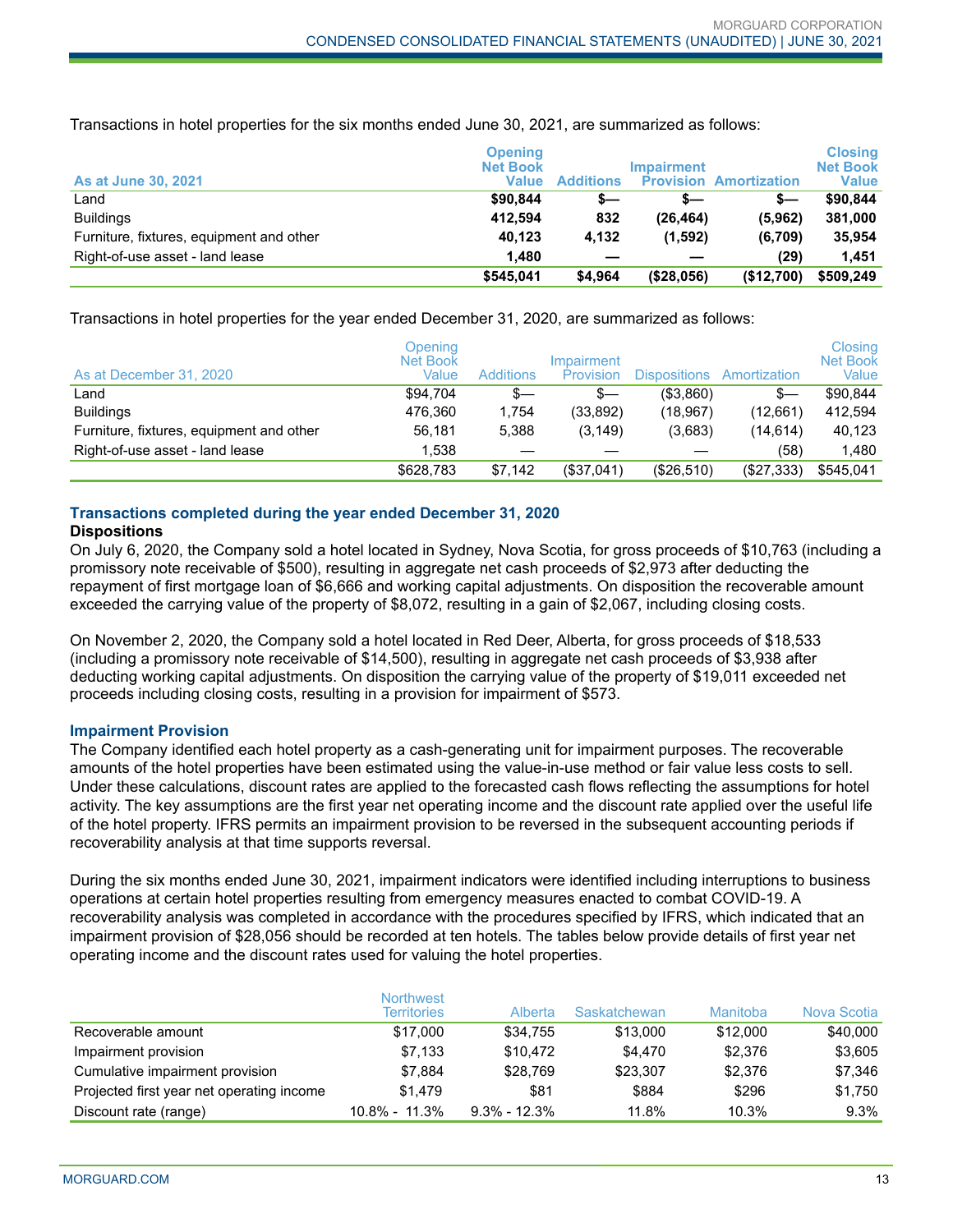Transactions in hotel properties for the six months ended June 30, 2021, are summarized as follows:

| <b>As at June 30, 2021</b>               | <b>Opening</b><br><b>Net Book</b><br>Value | <b>Additions</b> | <b>Impairment</b> | <b>Provision Amortization</b> | <b>Closing</b><br><b>Net Book</b><br>Value |
|------------------------------------------|--------------------------------------------|------------------|-------------------|-------------------------------|--------------------------------------------|
| ∟and                                     | \$90.844                                   | s—               | s—                | s—                            | \$90.844                                   |
| <b>Buildings</b>                         | 412.594                                    | 832              | (26, 464)         | (5,962)                       | 381.000                                    |
| Furniture, fixtures, equipment and other | 40.123                                     | 4.132            | (1,592)           | (6,709)                       | 35.954                                     |
| Right-of-use asset - land lease          | 1.480                                      |                  |                   | (29)                          | 1.451                                      |
|                                          | \$545.041                                  | \$4.964          | ( \$28,056)       | (\$12,700)                    | \$509,249                                  |

Transactions in hotel properties for the year ended December 31, 2020, are summarized as follows:

| As at December 31, 2020                  | Opening<br>Net Book<br>Value | <b>Additions</b> | Impairment<br>Provision | <b>Dispositions</b> | Amortization | Closing<br><b>Net Book</b><br>Value |
|------------------------------------------|------------------------------|------------------|-------------------------|---------------------|--------------|-------------------------------------|
| ∟and                                     | \$94.704                     | S—               | $s-$                    | (\$3,860)           | $s-$         | \$90.844                            |
| <b>Buildings</b>                         | 476.360                      | 1.754            | (33, 892)               | (18.967)            | (12,661)     | 412,594                             |
| Furniture, fixtures, equipment and other | 56,181                       | 5.388            | (3, 149)                | (3,683)             | (14,614)     | 40.123                              |
| Right-of-use asset - land lease          | 1.538                        |                  |                         |                     | (58)         | 1,480                               |
|                                          | \$628,783                    | \$7.142          | (\$37,041)              | (\$26,510)          | (\$27,333)   | \$545,041                           |

# **Transactions completed during the year ended December 31, 2020**

## **Dispositions**

On July 6, 2020, the Company sold a hotel located in Sydney, Nova Scotia, for gross proceeds of \$10,763 (including a promissory note receivable of \$500), resulting in aggregate net cash proceeds of \$2,973 after deducting the repayment of first mortgage loan of \$6,666 and working capital adjustments. On disposition the recoverable amount exceeded the carrying value of the property of \$8,072, resulting in a gain of \$2,067, including closing costs.

On November 2, 2020, the Company sold a hotel located in Red Deer, Alberta, for gross proceeds of \$18,533 (including a promissory note receivable of \$14,500), resulting in aggregate net cash proceeds of \$3,938 after deducting working capital adjustments. On disposition the carrying value of the property of \$19,011 exceeded net proceeds including closing costs, resulting in a provision for impairment of \$573.

#### **Impairment Provision**

The Company identified each hotel property as a cash-generating unit for impairment purposes. The recoverable amounts of the hotel properties have been estimated using the value-in-use method or fair value less costs to sell. Under these calculations, discount rates are applied to the forecasted cash flows reflecting the assumptions for hotel activity. The key assumptions are the first year net operating income and the discount rate applied over the useful life of the hotel property. IFRS permits an impairment provision to be reversed in the subsequent accounting periods if recoverability analysis at that time supports reversal.

During the six months ended June 30, 2021, impairment indicators were identified including interruptions to business operations at certain hotel properties resulting from emergency measures enacted to combat COVID-19. A recoverability analysis was completed in accordance with the procedures specified by IFRS, which indicated that an impairment provision of \$28,056 should be recorded at ten hotels. The tables below provide details of first year net operating income and the discount rates used for valuing the hotel properties.

|                                           | <b>Northwest</b><br><b>Territories</b> | Alberta          | Saskatchewan | Manitoba | Nova Scotia |
|-------------------------------------------|----------------------------------------|------------------|--------------|----------|-------------|
| Recoverable amount                        | \$17,000                               | \$34.755         | \$13,000     | \$12,000 | \$40,000    |
| Impairment provision                      | \$7.133                                | \$10.472         | \$4,470      | \$2,376  | \$3,605     |
| Cumulative impairment provision           | \$7.884                                | \$28.769         | \$23.307     | \$2,376  | \$7,346     |
| Projected first year net operating income | \$1,479                                | \$81             | \$884        | \$296    | \$1,750     |
| Discount rate (range)                     | $10.8\% - 11.3\%$                      | $9.3\% - 12.3\%$ | 11.8%        | 10.3%    | 9.3%        |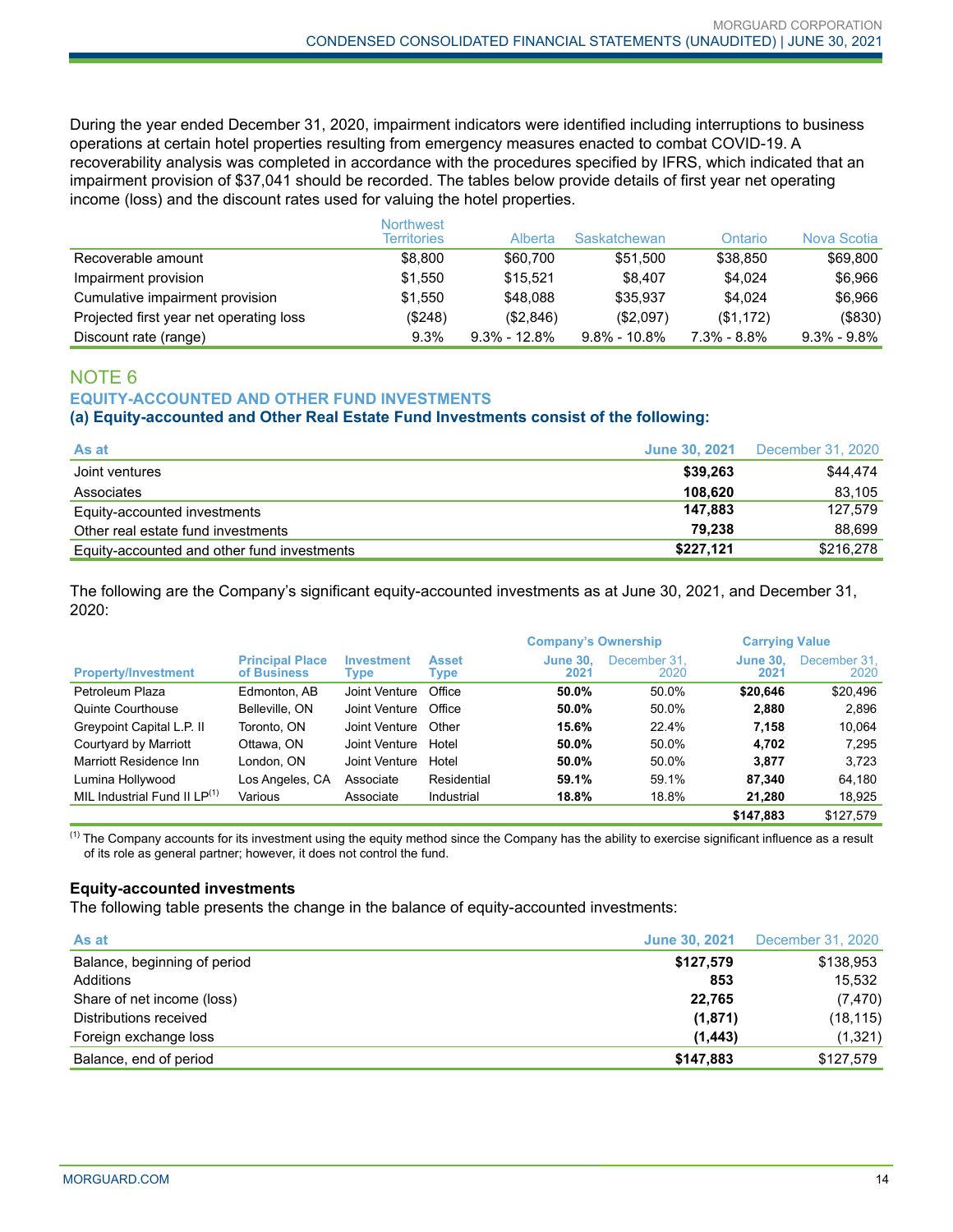During the year ended December 31, 2020, impairment indicators were identified including interruptions to business operations at certain hotel properties resulting from emergency measures enacted to combat COVID-19. A recoverability analysis was completed in accordance with the procedures specified by IFRS, which indicated that an impairment provision of \$37,041 should be recorded. The tables below provide details of first year net operating income (loss) and the discount rates used for valuing the hotel properties.

|                                         | <b>Northwest</b><br><b>Territories</b> | Alberta          | Saskatchewan     | Ontario         | Nova Scotia       |
|-----------------------------------------|----------------------------------------|------------------|------------------|-----------------|-------------------|
| Recoverable amount                      | \$8,800                                | \$60,700         | \$51.500         | \$38,850        | \$69,800          |
| Impairment provision                    | \$1.550                                | \$15.521         | \$8.407          | \$4.024         | \$6,966           |
| Cumulative impairment provision         | \$1.550                                | \$48,088         | \$35.937         | \$4.024         | \$6,966           |
| Projected first year net operating loss | (S248)                                 | (\$2,846)        | (S2.097)         | (\$1,172)       | ( \$830)          |
| Discount rate (range)                   | 9.3%                                   | $9.3\% - 12.8\%$ | $9.8\% - 10.8\%$ | $7.3\% - 8.8\%$ | $9.3\%$ - $9.8\%$ |

# NOTE 6 **EQUITY-ACCOUNTED AND OTHER FUND INVESTMENTS**

### **(a) Equity-accounted and Other Real Estate Fund Investments consist of the following:**

| As at                                       | June 30, 2021 | December 31, 2020 |
|---------------------------------------------|---------------|-------------------|
| Joint ventures                              | \$39.263      | \$44.474          |
| Associates                                  | 108.620       | 83.105            |
| Equity-accounted investments                | 147.883       | 127.579           |
| Other real estate fund investments          | 79.238        | 88.699            |
| Equity-accounted and other fund investments | \$227,121     | \$216,278         |

The following are the Company's significant equity-accounted investments as at June 30, 2021, and December 31, 2020:

|                                          |                                       |                           |                             | <b>Company's Ownership</b> |                      | <b>Carrying Value</b>   |                      |
|------------------------------------------|---------------------------------------|---------------------------|-----------------------------|----------------------------|----------------------|-------------------------|----------------------|
| <b>Property/Investment</b>               | <b>Principal Place</b><br>of Business | <b>Investment</b><br>Type | <b>Asset</b><br><b>Type</b> | <b>June 30.</b><br>2021    | December 31.<br>2020 | <b>June 30.</b><br>2021 | December 31.<br>2020 |
| Petroleum Plaza                          | Edmonton, AB                          | Joint Venture             | Office                      | 50.0%                      | 50.0%                | \$20.646                | \$20,496             |
| <b>Quinte Courthouse</b>                 | Belleville, ON                        | Joint Venture             | Office                      | 50.0%                      | 50.0%                | 2.880                   | 2,896                |
| Greypoint Capital L.P. II                | Toronto, ON                           | Joint Venture             | Other                       | 15.6%                      | 22.4%                | 7.158                   | 10,064               |
| Courtyard by Marriott                    | Ottawa, ON                            | Joint Venture             | Hotel                       | 50.0%                      | 50.0%                | 4.702                   | 7.295                |
| Marriott Residence Inn                   | London. ON                            | Joint Venture             | Hotel                       | 50.0%                      | 50.0%                | 3.877                   | 3,723                |
| Lumina Hollywood                         | Los Angeles, CA                       | Associate                 | Residential                 | 59.1%                      | 59.1%                | 87.340                  | 64.180               |
| MIL Industrial Fund II LP <sup>(1)</sup> | Various                               | Associate                 | Industrial                  | 18.8%                      | 18.8%                | 21,280                  | 18,925               |
|                                          |                                       |                           |                             |                            |                      | \$147.883               | \$127.579            |

 $<sup>(1)</sup>$  The Company accounts for its investment using the equity method since the Company has the ability to exercise significant influence as a result</sup> of its role as general partner; however, it does not control the fund.

#### **Equity-accounted investments**

The following table presents the change in the balance of equity-accounted investments:

| As at                        | <b>June 30, 2021</b> | December 31, 2020 |
|------------------------------|----------------------|-------------------|
| Balance, beginning of period | \$127,579            | \$138,953         |
| Additions                    | 853                  | 15.532            |
| Share of net income (loss)   | 22,765               | (7, 470)          |
| Distributions received       | (1,871)              | (18, 115)         |
| Foreign exchange loss        | (1, 443)             | (1,321)           |
| Balance, end of period       | \$147.883            | \$127.579         |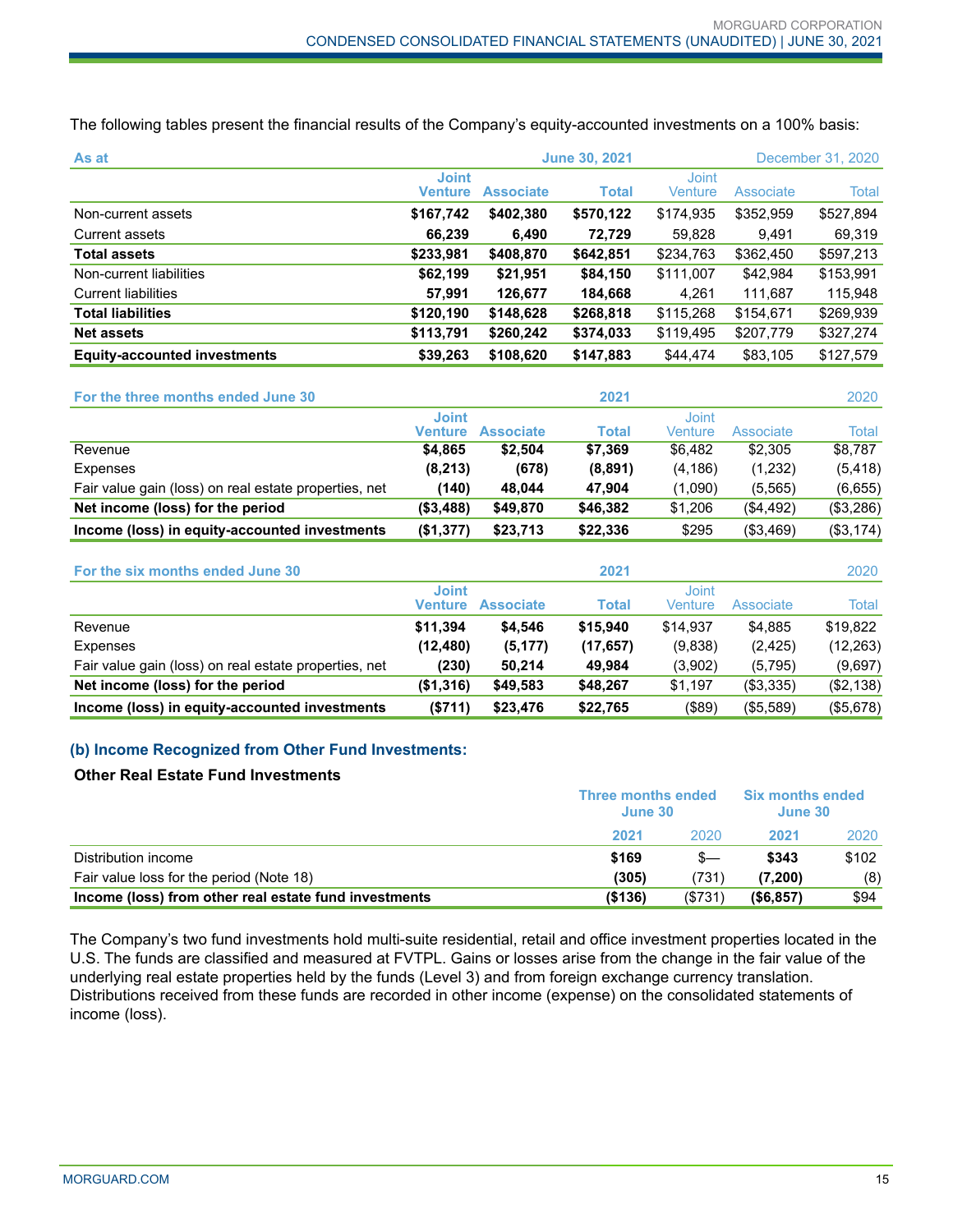The following tables present the financial results of the Company's equity-accounted investments on a 100% basis:

| As at                               | <b>June 30, 2021</b>           |                  |              |                         | December 31, 2020 |           |  |
|-------------------------------------|--------------------------------|------------------|--------------|-------------------------|-------------------|-----------|--|
|                                     | <b>Joint</b><br><b>Venture</b> | <b>Associate</b> | <b>Total</b> | <b>Joint</b><br>Venture | <b>Associate</b>  | Total     |  |
| Non-current assets                  | \$167,742                      | \$402,380        | \$570,122    | \$174,935               | \$352,959         | \$527,894 |  |
| Current assets                      | 66,239                         | 6,490            | 72.729       | 59,828                  | 9.491             | 69,319    |  |
| <b>Total assets</b>                 | \$233,981                      | \$408,870        | \$642,851    | \$234,763               | \$362,450         | \$597,213 |  |
| Non-current liabilities             | \$62,199                       | \$21,951         | \$84,150     | \$111,007               | \$42,984          | \$153,991 |  |
| <b>Current liabilities</b>          | 57.991                         | 126,677          | 184,668      | 4.261                   | 111.687           | 115,948   |  |
| <b>Total liabilities</b>            | \$120,190                      | \$148,628        | \$268,818    | \$115,268               | \$154,671         | \$269,939 |  |
| <b>Net assets</b>                   | \$113,791                      | \$260,242        | \$374,033    | \$119,495               | \$207,779         | \$327,274 |  |
| <b>Equity-accounted investments</b> | \$39,263                       | \$108.620        | \$147,883    | \$44.474                | \$83,105          | \$127,579 |  |

| For the three months ended June 30                    |                         |                  | 2021     |                  |            | 2020      |
|-------------------------------------------------------|-------------------------|------------------|----------|------------------|------------|-----------|
|                                                       | <b>Joint</b><br>Venture | <b>Associate</b> | Total    | Joint<br>Venture | Associate  | Total     |
| Revenue                                               | \$4.865                 | \$2.504          | \$7.369  | \$6.482          | \$2,305    | \$8,787   |
| Expenses                                              | (8, 213)                | (678)            | (8,891)  | (4, 186)         | (1,232)    | (5, 418)  |
| Fair value gain (loss) on real estate properties, net | (140)                   | 48.044           | 47.904   | (1.090)          | (5, 565)   | (6,655)   |
| Net income (loss) for the period                      | ( \$3,488)              | \$49,870         | \$46,382 | \$1,206          | ( \$4,492) | (\$3,286) |
| Income (loss) in equity-accounted investments         | (\$1,377)               | \$23,713         | \$22,336 | \$295            | (\$3,469)  | (\$3,174) |

| For the six months ended June 30                      |                         |                  | 2021      |                  |           | 2020      |
|-------------------------------------------------------|-------------------------|------------------|-----------|------------------|-----------|-----------|
|                                                       | <b>Joint</b><br>Venture | <b>Associate</b> | Total     | Joint<br>Venture | Associate | Total     |
| Revenue                                               | \$11.394                | \$4.546          | \$15,940  | \$14.937         | \$4.885   | \$19,822  |
| Expenses                                              | (12, 480)               | (5, 177)         | (17, 657) | (9,838)          | (2, 425)  | (12, 263) |
| Fair value gain (loss) on real estate properties, net | (230)                   | 50.214           | 49.984    | (3,902)          | (5,795)   | (9,697)   |
| Net income (loss) for the period                      | (\$1,316)               | \$49.583         | \$48,267  | \$1.197          | (\$3,335) | (\$2,138) |
| Income (loss) in equity-accounted investments         | ( \$711)                | \$23,476         | \$22,765  | (\$89)           | (\$5,589) | (\$5,678) |

#### **(b) Income Recognized from Other Fund Investments:**

#### **Other Real Estate Fund Investments**

|                                                       | Three months ended<br>June 30 |         | <b>Six months ended</b><br>June 30 |       |
|-------------------------------------------------------|-------------------------------|---------|------------------------------------|-------|
|                                                       | 2021                          | 2020    | 2021                               | 2020  |
| Distribution income                                   | \$169                         |         | \$343                              | \$102 |
| Fair value loss for the period (Note 18)              | (305)                         | (731)   | (7.200)                            | (8)   |
| Income (loss) from other real estate fund investments | ( \$136)                      | (\$731) | ( \$6,857)                         | \$94  |

The Company's two fund investments hold multi-suite residential, retail and office investment properties located in the U.S. The funds are classified and measured at FVTPL. Gains or losses arise from the change in the fair value of the underlying real estate properties held by the funds (Level 3) and from foreign exchange currency translation. Distributions received from these funds are recorded in other income (expense) on the consolidated statements of income (loss).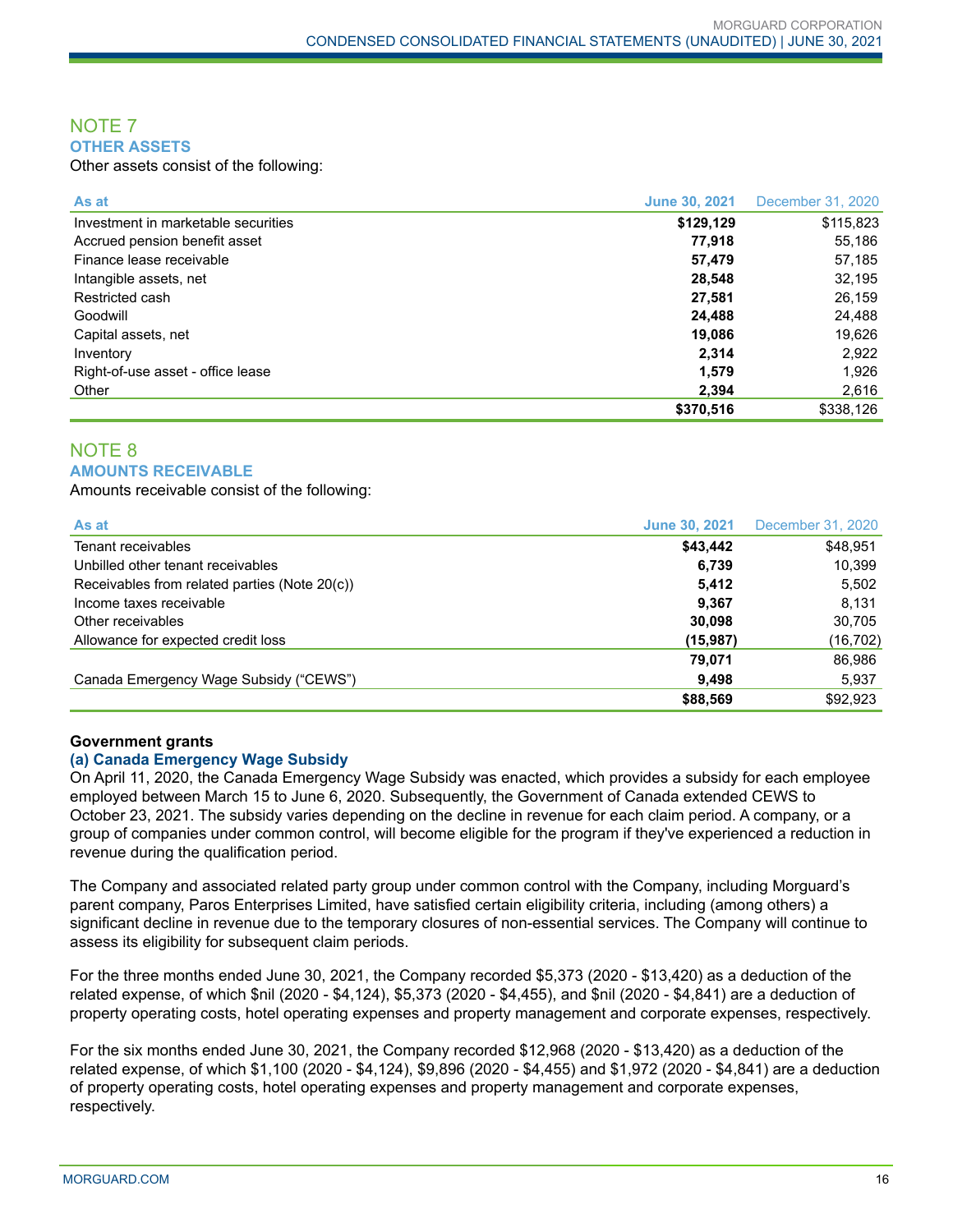#### NOTE 7 **OTHER ASSETS**

Other assets consist of the following:

| As at                               | <b>June 30, 2021</b> | December 31, 2020 |
|-------------------------------------|----------------------|-------------------|
| Investment in marketable securities | \$129,129            | \$115,823         |
| Accrued pension benefit asset       | 77,918               | 55,186            |
| Finance lease receivable            | 57,479               | 57,185            |
| Intangible assets, net              | 28,548               | 32,195            |
| Restricted cash                     | 27,581               | 26,159            |
| Goodwill                            | 24.488               | 24,488            |
| Capital assets, net                 | 19,086               | 19,626            |
| Inventory                           | 2,314                | 2,922             |
| Right-of-use asset - office lease   | 1,579                | 1,926             |
| Other                               | 2.394                | 2,616             |
|                                     | \$370.516            | \$338.126         |

#### NOTE 8 **AMOUNTS RECEIVABLE**

Amounts receivable consist of the following:

| As at                                         | <b>June 30, 2021</b> | December 31, 2020 |
|-----------------------------------------------|----------------------|-------------------|
| Tenant receivables                            | \$43,442             | \$48,951          |
| Unbilled other tenant receivables             | 6,739                | 10,399            |
| Receivables from related parties (Note 20(c)) | 5,412                | 5,502             |
| Income taxes receivable                       | 9.367                | 8.131             |
| Other receivables                             | 30.098               | 30,705            |
| Allowance for expected credit loss            | (15, 987)            | (16, 702)         |
|                                               | 79.071               | 86,986            |
| Canada Emergency Wage Subsidy ("CEWS")        | 9,498                | 5,937             |
|                                               | \$88,569             | \$92,923          |

#### **Government grants**

#### **(a) Canada Emergency Wage Subsidy**

On April 11, 2020, the Canada Emergency Wage Subsidy was enacted, which provides a subsidy for each employee employed between March 15 to June 6, 2020. Subsequently, the Government of Canada extended CEWS to October 23, 2021. The subsidy varies depending on the decline in revenue for each claim period. A company, or a group of companies under common control, will become eligible for the program if they've experienced a reduction in revenue during the qualification period.

The Company and associated related party group under common control with the Company, including Morguard's parent company, Paros Enterprises Limited, have satisfied certain eligibility criteria, including (among others) a significant decline in revenue due to the temporary closures of non-essential services. The Company will continue to assess its eligibility for subsequent claim periods.

For the three months ended June 30, 2021, the Company recorded \$5,373 (2020 - \$13,420) as a deduction of the related expense, of which \$nil (2020 - \$4,124), \$5,373 (2020 - \$4,455), and \$nil (2020 - \$4,841) are a deduction of property operating costs, hotel operating expenses and property management and corporate expenses, respectively.

For the six months ended June 30, 2021, the Company recorded \$12,968 (2020 - \$13,420) as a deduction of the related expense, of which \$1,100 (2020 - \$4,124), \$9,896 (2020 - \$4,455) and \$1,972 (2020 - \$4,841) are a deduction of property operating costs, hotel operating expenses and property management and corporate expenses, respectively.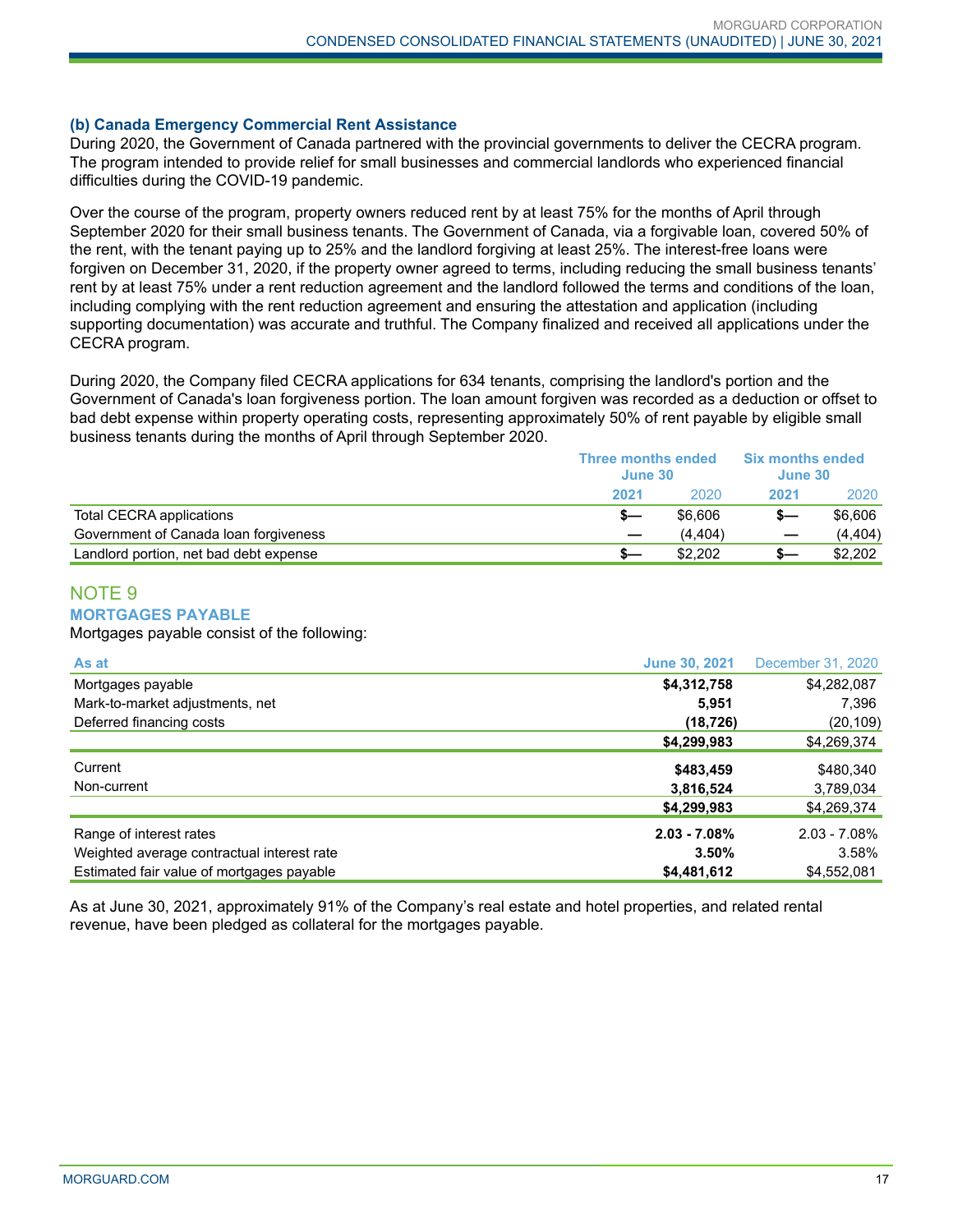#### **(b) Canada Emergency Commercial Rent Assistance**

During 2020, the Government of Canada partnered with the provincial governments to deliver the CECRA program. The program intended to provide relief for small businesses and commercial landlords who experienced financial difficulties during the COVID-19 pandemic.

Over the course of the program, property owners reduced rent by at least 75% for the months of April through September 2020 for their small business tenants. The Government of Canada, via a forgivable loan, covered 50% of the rent, with the tenant paying up to 25% and the landlord forgiving at least 25%. The interest-free loans were forgiven on December 31, 2020, if the property owner agreed to terms, including reducing the small business tenants' rent by at least 75% under a rent reduction agreement and the landlord followed the terms and conditions of the loan, including complying with the rent reduction agreement and ensuring the attestation and application (including supporting documentation) was accurate and truthful. The Company finalized and received all applications under the CECRA program.

During 2020, the Company filed CECRA applications for 634 tenants, comprising the landlord's portion and the Government of Canada's loan forgiveness portion. The loan amount forgiven was recorded as a deduction or offset to bad debt expense within property operating costs, representing approximately 50% of rent payable by eligible small business tenants during the months of April through September 2020.

|                                        | <b>Three months ended</b><br>June 30 |         | <b>Six months ended</b><br>June 30 |          |
|----------------------------------------|--------------------------------------|---------|------------------------------------|----------|
|                                        | 2021                                 | 2020    | 2021                               | 2020     |
| Total CECRA applications               |                                      | \$6,606 |                                    | \$6,606  |
| Government of Canada Ioan forgiveness  |                                      | (4.404) |                                    | (4, 404) |
| Landlord portion, net bad debt expense |                                      | \$2.202 | s—                                 | \$2,202  |

# NOTE 9

#### **MORTGAGES PAYABLE**

Mortgages payable consist of the following:

| As at                                      | <b>June 30, 2021</b> | December 31, 2020 |
|--------------------------------------------|----------------------|-------------------|
| Mortgages payable                          | \$4,312,758          | \$4,282,087       |
| Mark-to-market adjustments, net            | 5.951                | 7,396             |
| Deferred financing costs                   | (18, 726)            | (20, 109)         |
|                                            | \$4,299,983          | \$4,269,374       |
| Current                                    | \$483,459            | \$480,340         |
| Non-current                                | 3,816,524            | 3,789,034         |
|                                            | \$4,299,983          | \$4,269,374       |
| Range of interest rates                    | $2.03 - 7.08%$       | $2.03 - 7.08\%$   |
| Weighted average contractual interest rate | 3.50%                | 3.58%             |
| Estimated fair value of mortgages payable  | \$4,481,612          | \$4,552,081       |

As at June 30, 2021, approximately 91% of the Company's real estate and hotel properties, and related rental revenue, have been pledged as collateral for the mortgages payable.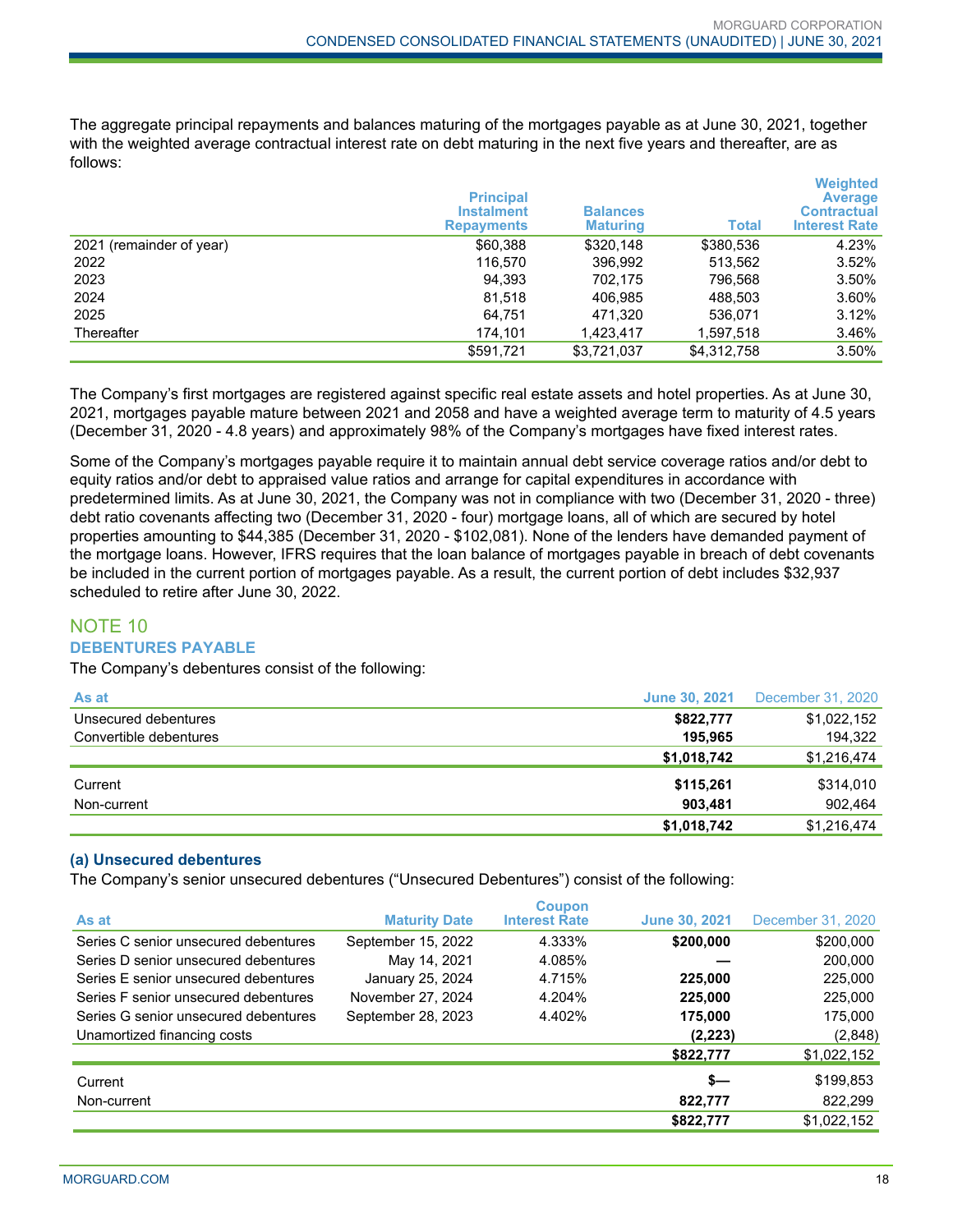The aggregate principal repayments and balances maturing of the mortgages payable as at June 30, 2021, together with the weighted average contractual interest rate on debt maturing in the next five years and thereafter, are as follows:

|                          | <b>Principal</b><br><b>Instalment</b><br><b>Repayments</b> | <b>Balances</b><br><b>Maturing</b> | Total       | <b>Weighted</b><br><b>Average</b><br><b>Contractual</b><br><b>Interest Rate</b> |
|--------------------------|------------------------------------------------------------|------------------------------------|-------------|---------------------------------------------------------------------------------|
| 2021 (remainder of year) | \$60,388                                                   | \$320,148                          | \$380,536   | 4.23%                                                                           |
| 2022                     | 116.570                                                    | 396,992                            | 513,562     | $3.52\%$                                                                        |
| 2023                     | 94.393                                                     | 702.175                            | 796,568     | 3.50%                                                                           |
| 2024                     | 81,518                                                     | 406.985                            | 488.503     | 3.60%                                                                           |
| 2025                     | 64,751                                                     | 471,320                            | 536.071     | 3.12%                                                                           |
| Thereafter               | 174.101                                                    | 1,423,417                          | 1,597,518   | 3.46%                                                                           |
|                          | \$591,721                                                  | \$3.721.037                        | \$4,312,758 | 3.50%                                                                           |

The Company's first mortgages are registered against specific real estate assets and hotel properties. As at June 30, 2021, mortgages payable mature between 2021 and 2058 and have a weighted average term to maturity of 4.5 years (December 31, 2020 - 4.8 years) and approximately 98% of the Company's mortgages have fixed interest rates.

Some of the Company's mortgages payable require it to maintain annual debt service coverage ratios and/or debt to equity ratios and/or debt to appraised value ratios and arrange for capital expenditures in accordance with predetermined limits. As at June 30, 2021, the Company was not in compliance with two (December 31, 2020 - three) debt ratio covenants affecting two (December 31, 2020 - four) mortgage loans, all of which are secured by hotel properties amounting to \$44,385 (December 31, 2020 - \$102,081). None of the lenders have demanded payment of the mortgage loans. However, IFRS requires that the loan balance of mortgages payable in breach of debt covenants be included in the current portion of mortgages payable. As a result, the current portion of debt includes \$32,937 scheduled to retire after June 30, 2022.

# NOTE 10 **DEBENTURES PAYABLE**

The Company's debentures consist of the following:

| As at                  | <b>June 30, 2021</b> | December 31, 2020 |
|------------------------|----------------------|-------------------|
| Unsecured debentures   | \$822,777            | \$1,022,152       |
| Convertible debentures | 195.965              | 194,322           |
|                        | \$1,018,742          | \$1,216,474       |
| Current                | \$115,261            | \$314,010         |
| Non-current            | 903.481              | 902.464           |
|                        | \$1,018,742          | \$1,216,474       |

#### **(a) Unsecured debentures**

The Company's senior unsecured debentures ("Unsecured Debentures") consist of the following:

| As at                                | <b>Maturity Date</b> | <b>Coupon</b><br><b>Interest Rate</b> | <b>June 30, 2021</b> | December 31, 2020 |
|--------------------------------------|----------------------|---------------------------------------|----------------------|-------------------|
| Series C senior unsecured debentures | September 15, 2022   | 4.333%                                | \$200,000            | \$200,000         |
| Series D senior unsecured debentures | May 14, 2021         | 4.085%                                |                      | 200,000           |
| Series E senior unsecured debentures | January 25, 2024     | 4.715%                                | 225,000              | 225,000           |
| Series F senior unsecured debentures | November 27, 2024    | 4.204%                                | 225,000              | 225,000           |
| Series G senior unsecured debentures | September 28, 2023   | 4.402%                                | 175,000              | 175,000           |
| Unamortized financing costs          |                      |                                       | (2, 223)             | (2,848)           |
|                                      |                      |                                       | \$822,777            | \$1,022,152       |
| Current                              |                      |                                       | $s-$                 | \$199,853         |
| Non-current                          |                      |                                       | 822,777              | 822,299           |
|                                      |                      |                                       | \$822,777            | \$1,022,152       |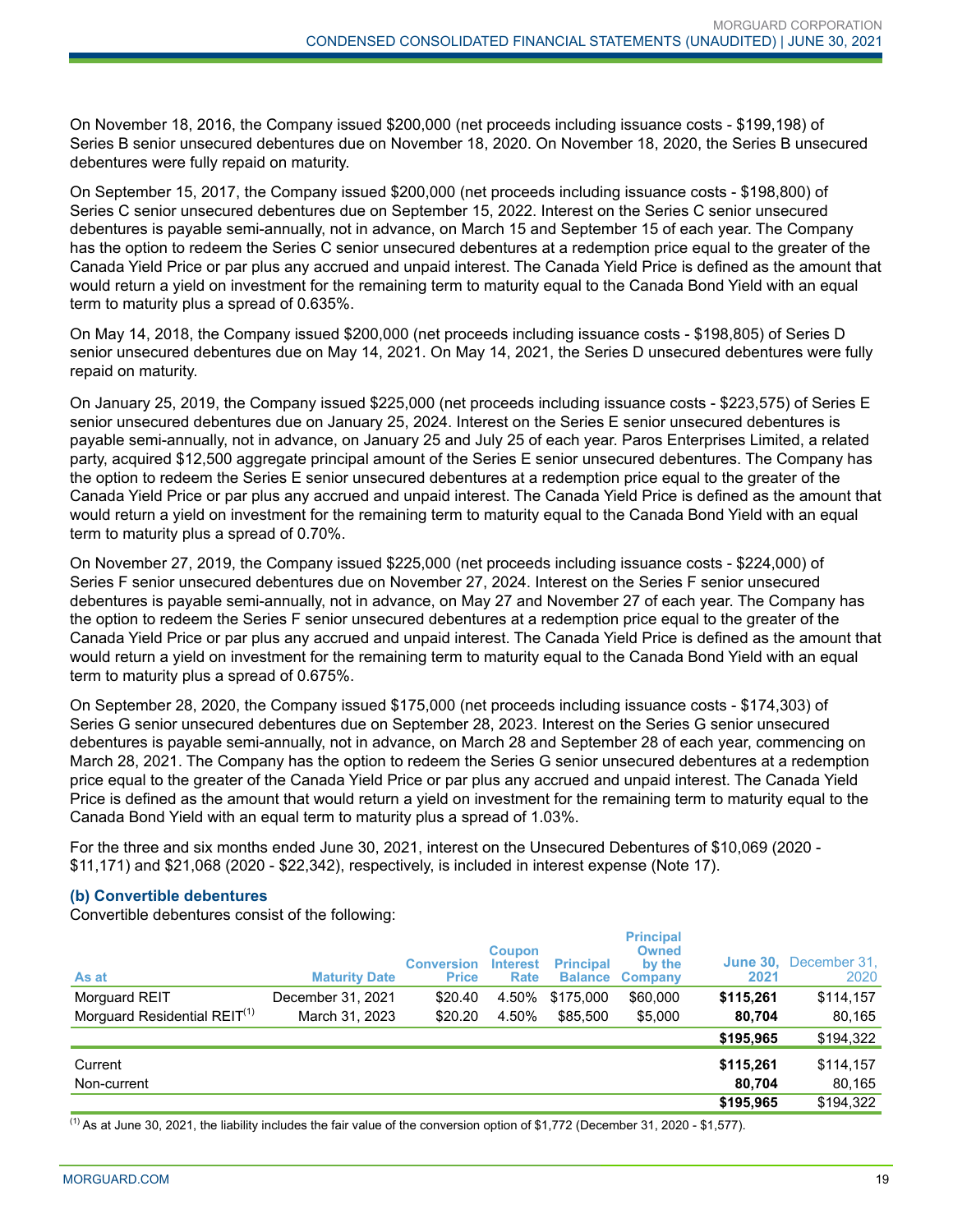On November 18, 2016, the Company issued \$200,000 (net proceeds including issuance costs - \$199,198) of Series B senior unsecured debentures due on November 18, 2020. On November 18, 2020, the Series B unsecured debentures were fully repaid on maturity.

On September 15, 2017, the Company issued \$200,000 (net proceeds including issuance costs - \$198,800) of Series C senior unsecured debentures due on September 15, 2022. Interest on the Series C senior unsecured debentures is payable semi-annually, not in advance, on March 15 and September 15 of each year. The Company has the option to redeem the Series C senior unsecured debentures at a redemption price equal to the greater of the Canada Yield Price or par plus any accrued and unpaid interest. The Canada Yield Price is defined as the amount that would return a yield on investment for the remaining term to maturity equal to the Canada Bond Yield with an equal term to maturity plus a spread of 0.635%.

On May 14, 2018, the Company issued \$200,000 (net proceeds including issuance costs - \$198,805) of Series D senior unsecured debentures due on May 14, 2021. On May 14, 2021, the Series D unsecured debentures were fully repaid on maturity.

On January 25, 2019, the Company issued \$225,000 (net proceeds including issuance costs - \$223,575) of Series E senior unsecured debentures due on January 25, 2024. Interest on the Series E senior unsecured debentures is payable semi-annually, not in advance, on January 25 and July 25 of each year. Paros Enterprises Limited, a related party, acquired \$12,500 aggregate principal amount of the Series E senior unsecured debentures. The Company has the option to redeem the Series E senior unsecured debentures at a redemption price equal to the greater of the Canada Yield Price or par plus any accrued and unpaid interest. The Canada Yield Price is defined as the amount that would return a yield on investment for the remaining term to maturity equal to the Canada Bond Yield with an equal term to maturity plus a spread of 0.70%.

On November 27, 2019, the Company issued \$225,000 (net proceeds including issuance costs - \$224,000) of Series F senior unsecured debentures due on November 27, 2024. Interest on the Series F senior unsecured debentures is payable semi-annually, not in advance, on May 27 and November 27 of each year. The Company has the option to redeem the Series F senior unsecured debentures at a redemption price equal to the greater of the Canada Yield Price or par plus any accrued and unpaid interest. The Canada Yield Price is defined as the amount that would return a yield on investment for the remaining term to maturity equal to the Canada Bond Yield with an equal term to maturity plus a spread of 0.675%.

On September 28, 2020, the Company issued \$175,000 (net proceeds including issuance costs - \$174,303) of Series G senior unsecured debentures due on September 28, 2023. Interest on the Series G senior unsecured debentures is payable semi-annually, not in advance, on March 28 and September 28 of each year, commencing on March 28, 2021. The Company has the option to redeem the Series G senior unsecured debentures at a redemption price equal to the greater of the Canada Yield Price or par plus any accrued and unpaid interest. The Canada Yield Price is defined as the amount that would return a yield on investment for the remaining term to maturity equal to the Canada Bond Yield with an equal term to maturity plus a spread of 1.03%.

For the three and six months ended June 30, 2021, interest on the Unsecured Debentures of \$10,069 (2020 - \$11,171) and \$21,068 (2020 - \$22,342), respectively, is included in interest expense (Note 17).

#### **(b) Convertible debentures**

Convertible debentures consist of the following:

| As at                                    | <b>Maturity Date</b> | <b>Conversion</b><br><b>Price</b> | <b>Coupon</b><br><b>Interest</b><br>Rate | <b>Principal</b><br><b>Balance</b> | <b>Principal</b><br><b>Owned</b><br>by the<br><b>Company</b> | 2021      | <b>June 30, December 31,</b><br>2020 |
|------------------------------------------|----------------------|-----------------------------------|------------------------------------------|------------------------------------|--------------------------------------------------------------|-----------|--------------------------------------|
| Morguard REIT                            | December 31, 2021    | \$20.40                           | 4.50%                                    | \$175,000                          | \$60,000                                                     | \$115,261 | \$114,157                            |
| Morguard Residential REIT <sup>(1)</sup> | March 31, 2023       | \$20.20                           | 4.50%                                    | \$85,500                           | \$5,000                                                      | 80.704    | 80,165                               |
|                                          |                      |                                   |                                          |                                    |                                                              | \$195,965 | \$194,322                            |
| Current                                  |                      |                                   |                                          |                                    |                                                              | \$115,261 | \$114,157                            |
| Non-current                              |                      |                                   |                                          |                                    |                                                              | 80.704    | 80,165                               |
|                                          |                      |                                   |                                          |                                    |                                                              | \$195,965 | \$194,322                            |

 $<sup>(1)</sup>$  As at June 30, 2021, the liability includes the fair value of the conversion option of \$1,772 (December 31, 2020 - \$1,577).</sup>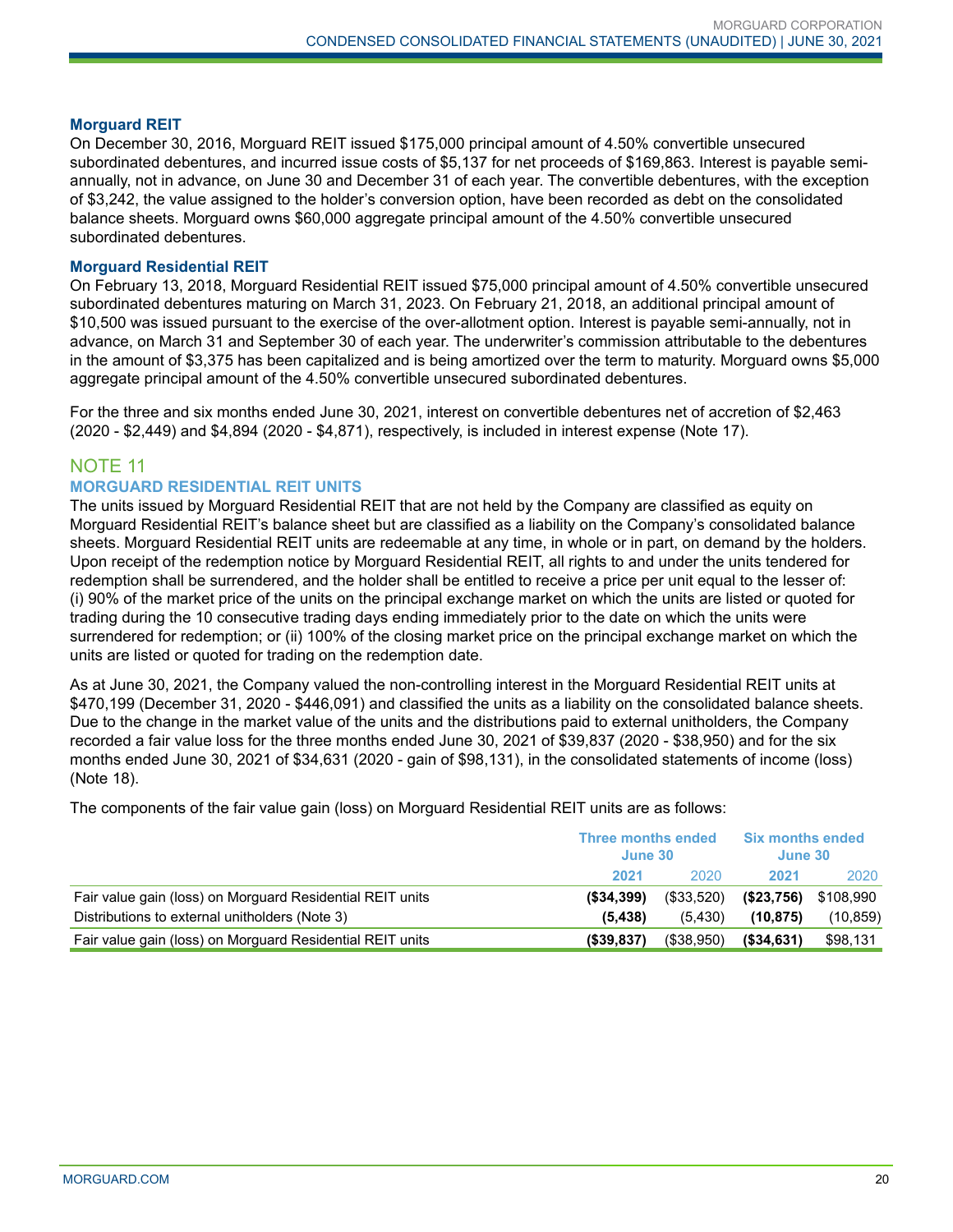#### **Morguard REIT**

On December 30, 2016, Morguard REIT issued \$175,000 principal amount of 4.50% convertible unsecured subordinated debentures, and incurred issue costs of \$5,137 for net proceeds of \$169,863. Interest is payable semiannually, not in advance, on June 30 and December 31 of each year. The convertible debentures, with the exception of \$3,242, the value assigned to the holder's conversion option, have been recorded as debt on the consolidated balance sheets. Morguard owns \$60,000 aggregate principal amount of the 4.50% convertible unsecured subordinated debentures.

#### **Morguard Residential REIT**

On February 13, 2018, Morguard Residential REIT issued \$75,000 principal amount of 4.50% convertible unsecured subordinated debentures maturing on March 31, 2023. On February 21, 2018, an additional principal amount of \$10,500 was issued pursuant to the exercise of the over-allotment option. Interest is payable semi-annually, not in advance, on March 31 and September 30 of each year. The underwriter's commission attributable to the debentures in the amount of \$3,375 has been capitalized and is being amortized over the term to maturity. Morguard owns \$5,000 aggregate principal amount of the 4.50% convertible unsecured subordinated debentures.

For the three and six months ended June 30, 2021, interest on convertible debentures net of accretion of \$2,463 (2020 - \$2,449) and \$4,894 (2020 - \$4,871), respectively, is included in interest expense (Note 17).

# NOTE 11

#### **MORGUARD RESIDENTIAL REIT UNITS**

The units issued by Morguard Residential REIT that are not held by the Company are classified as equity on Morguard Residential REIT's balance sheet but are classified as a liability on the Company's consolidated balance sheets. Morguard Residential REIT units are redeemable at any time, in whole or in part, on demand by the holders. Upon receipt of the redemption notice by Morguard Residential REIT, all rights to and under the units tendered for redemption shall be surrendered, and the holder shall be entitled to receive a price per unit equal to the lesser of: (i) 90% of the market price of the units on the principal exchange market on which the units are listed or quoted for trading during the 10 consecutive trading days ending immediately prior to the date on which the units were surrendered for redemption; or (ii) 100% of the closing market price on the principal exchange market on which the units are listed or quoted for trading on the redemption date.

As at June 30, 2021, the Company valued the non-controlling interest in the Morguard Residential REIT units at \$470,199 (December 31, 2020 - \$446,091) and classified the units as a liability on the consolidated balance sheets. Due to the change in the market value of the units and the distributions paid to external unitholders, the Company recorded a fair value loss for the three months ended June 30, 2021 of \$39,837 (2020 - \$38,950) and for the six months ended June 30, 2021 of \$34,631 (2020 - gain of \$98,131), in the consolidated statements of income (loss) (Note 18).

The components of the fair value gain (loss) on Morguard Residential REIT units are as follows:

|                                                           | <b>Three months ended</b><br>June 30 |            | <b>Six months ended</b><br>June 30 |           |
|-----------------------------------------------------------|--------------------------------------|------------|------------------------------------|-----------|
|                                                           | 2021                                 | 2020       | 2021                               | 2020      |
| Fair value gain (loss) on Morguard Residential REIT units | $($ \$34.399)                        | (\$33,520) | (S23,756)                          | \$108,990 |
| Distributions to external unitholders (Note 3)            | (5.438)                              | (5.430)    | (10.875)                           | (10, 859) |
| Fair value gain (loss) on Morguard Residential REIT units | $($ \$39.837)                        | (\$38,950) | ( \$34, 631)                       | \$98,131  |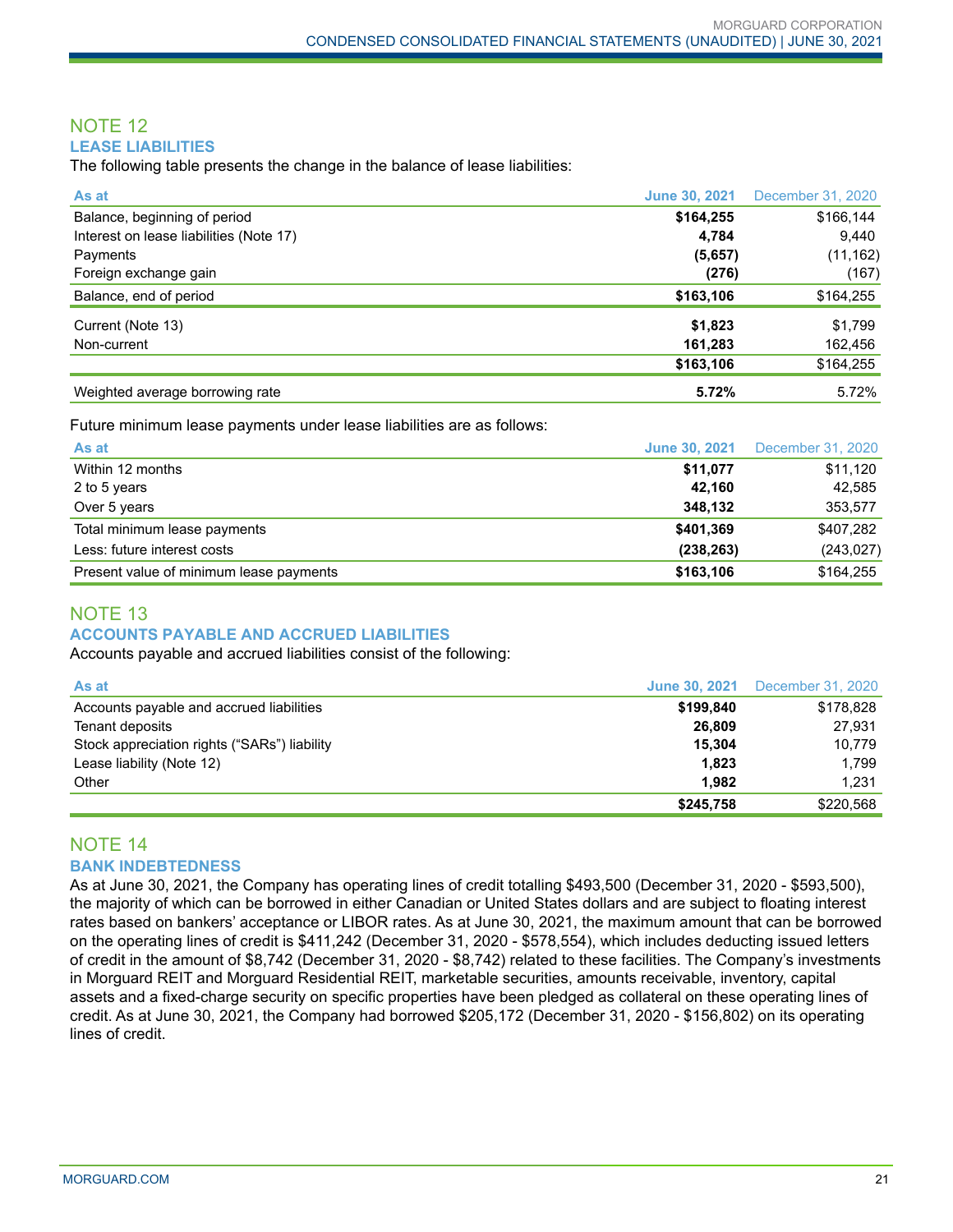#### NOTE 12 **LEASE LIABILITIES**

The following table presents the change in the balance of lease liabilities:

| As at                                   | <b>June 30, 2021</b> | December 31, 2020 |
|-----------------------------------------|----------------------|-------------------|
| Balance, beginning of period            | \$164,255            | \$166,144         |
| Interest on lease liabilities (Note 17) | 4.784                | 9,440             |
| Payments                                | (5,657)              | (11, 162)         |
| Foreign exchange gain                   | (276)                | (167)             |
| Balance, end of period                  | \$163,106            | \$164,255         |
| Current (Note 13)                       | \$1,823              | \$1,799           |
| Non-current                             | 161,283              | 162,456           |
|                                         | \$163,106            | \$164,255         |
| Weighted average borrowing rate         | 5.72%                | 5.72%             |

Future minimum lease payments under lease liabilities are as follows:

| As at                                   | <b>June 30, 2021</b> | December 31, 2020 |
|-----------------------------------------|----------------------|-------------------|
| Within 12 months                        | \$11,077             | \$11,120          |
| 2 to 5 years                            | 42.160               | 42,585            |
| Over 5 years                            | 348.132              | 353,577           |
| Total minimum lease payments            | \$401,369            | \$407,282         |
| Less: future interest costs             | (238, 263)           | (243, 027)        |
| Present value of minimum lease payments | \$163,106            | \$164,255         |

## NOTE 13 **ACCOUNTS PAYABLE AND ACCRUED LIABILITIES**

Accounts payable and accrued liabilities consist of the following:

| As at                                        |           | <b>June 30, 2021</b> December 31, 2020 |
|----------------------------------------------|-----------|----------------------------------------|
| Accounts payable and accrued liabilities     | \$199.840 | \$178,828                              |
| Tenant deposits                              | 26.809    | 27,931                                 |
| Stock appreciation rights ("SARs") liability | 15.304    | 10.779                                 |
| Lease liability (Note 12)                    | 1,823     | 1.799                                  |
| Other                                        | 1.982     | 1.231                                  |
|                                              | \$245.758 | \$220,568                              |

# NOTE 14 **BANK INDEBTEDNESS**

As at June 30, 2021, the Company has operating lines of credit totalling \$493,500 (December 31, 2020 - \$593,500), the majority of which can be borrowed in either Canadian or United States dollars and are subject to floating interest rates based on bankers' acceptance or LIBOR rates. As at June 30, 2021, the maximum amount that can be borrowed on the operating lines of credit is \$411,242 (December 31, 2020 - \$578,554), which includes deducting issued letters of credit in the amount of \$8,742 (December 31, 2020 - \$8,742) related to these facilities. The Company's investments in Morguard REIT and Morguard Residential REIT, marketable securities, amounts receivable, inventory, capital assets and a fixed-charge security on specific properties have been pledged as collateral on these operating lines of credit. As at June 30, 2021, the Company had borrowed \$205,172 (December 31, 2020 - \$156,802) on its operating lines of credit.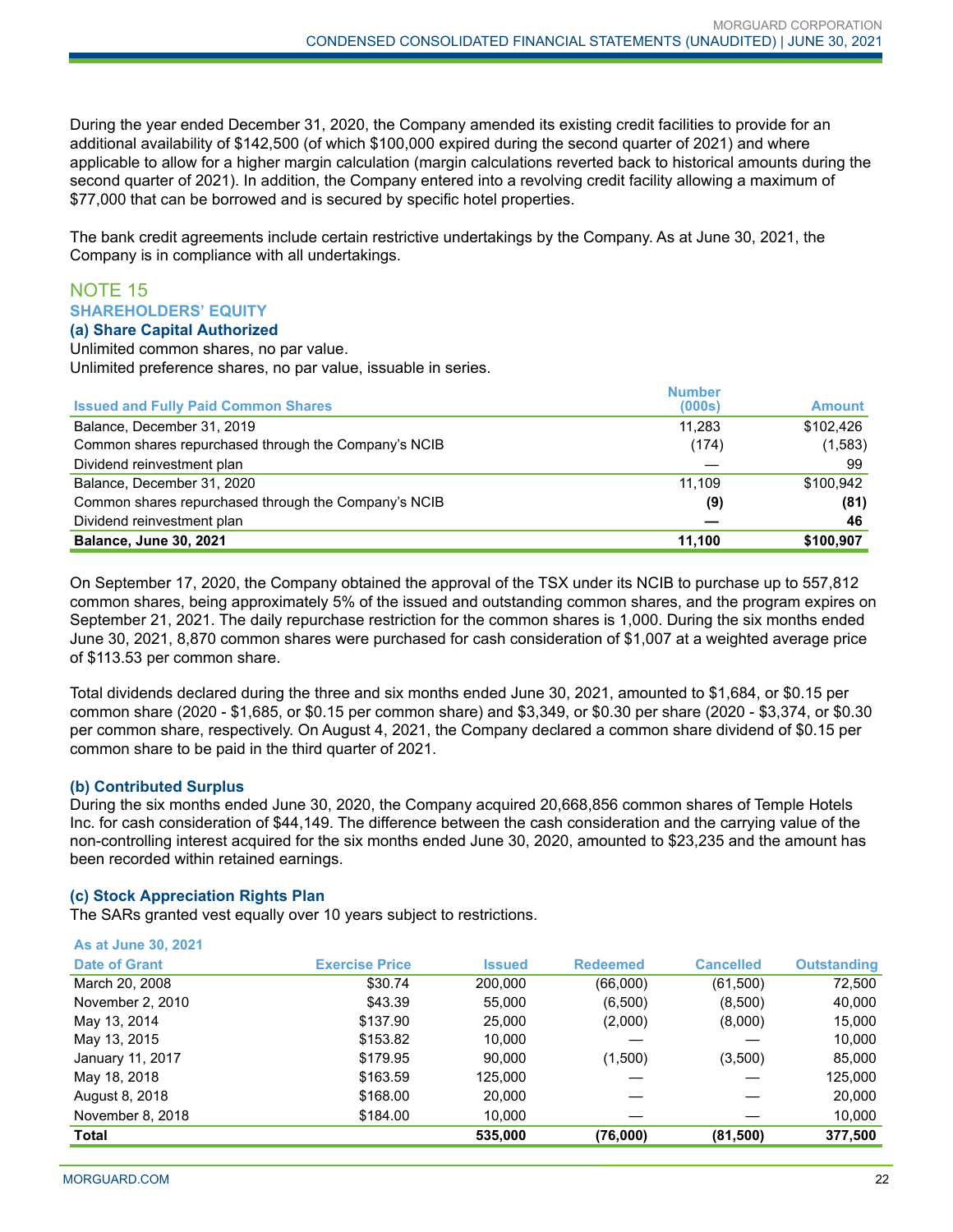During the year ended December 31, 2020, the Company amended its existing credit facilities to provide for an additional availability of \$142,500 (of which \$100,000 expired during the second quarter of 2021) and where applicable to allow for a higher margin calculation (margin calculations reverted back to historical amounts during the second quarter of 2021). In addition, the Company entered into a revolving credit facility allowing a maximum of \$77,000 that can be borrowed and is secured by specific hotel properties.

The bank credit agreements include certain restrictive undertakings by the Company. As at June 30, 2021, the Company is in compliance with all undertakings.

#### NOTE 15 **SHAREHOLDERS' EQUITY (a) Share Capital Authorized**

Unlimited common shares, no par value.

Unlimited preference shares, no par value, issuable in series.

|                                                      | <b>Number</b> |               |
|------------------------------------------------------|---------------|---------------|
| <b>Issued and Fully Paid Common Shares</b>           | (000s)        | <b>Amount</b> |
| Balance, December 31, 2019                           | 11.283        | \$102,426     |
| Common shares repurchased through the Company's NCIB | (174)         | (1,583)       |
| Dividend reinvestment plan                           |               | 99            |
| Balance, December 31, 2020                           | 11.109        | \$100.942     |
| Common shares repurchased through the Company's NCIB | (9)           | (81)          |
| Dividend reinvestment plan                           |               | 46            |
| <b>Balance, June 30, 2021</b>                        | 11,100        | \$100,907     |

On September 17, 2020, the Company obtained the approval of the TSX under its NCIB to purchase up to 557,812 common shares, being approximately 5% of the issued and outstanding common shares, and the program expires on September 21, 2021. The daily repurchase restriction for the common shares is 1,000. During the six months ended June 30, 2021, 8,870 common shares were purchased for cash consideration of \$1,007 at a weighted average price of \$113.53 per common share.

Total dividends declared during the three and six months ended June 30, 2021, amounted to \$1,684, or \$0.15 per common share (2020 - \$1,685, or \$0.15 per common share) and \$3,349, or \$0.30 per share (2020 - \$3,374, or \$0.30 per common share, respectively. On August 4, 2021, the Company declared a common share dividend of \$0.15 per common share to be paid in the third quarter of 2021.

# **(b) Contributed Surplus**

**As at June 30, 2021**

During the six months ended June 30, 2020, the Company acquired 20,668,856 common shares of Temple Hotels Inc. for cash consideration of \$44,149. The difference between the cash consideration and the carrying value of the non-controlling interest acquired for the six months ended June 30, 2020, amounted to \$23,235 and the amount has been recorded within retained earnings.

#### **(c) Stock Appreciation Rights Plan**

The SARs granted vest equally over 10 years subject to restrictions.

| <b>Total</b>                |                       | 535,000       | (76,000)        | (81, 500)        | 377,500            |
|-----------------------------|-----------------------|---------------|-----------------|------------------|--------------------|
|                             |                       |               |                 |                  |                    |
| November 8, 2018            | \$184.00              | 10.000        |                 |                  | 10,000             |
| August 8, 2018              | \$168.00              | 20,000        |                 |                  | 20,000             |
| May 18, 2018                | \$163.59              | 125,000       |                 |                  | 125,000            |
| January 11, 2017            | \$179.95              | 90.000        | (1,500)         | (3,500)          | 85,000             |
| May 13, 2015                | \$153.82              | 10.000        |                 |                  | 10,000             |
| May 13, 2014                | \$137.90              | 25,000        | (2,000)         | (8,000)          | 15,000             |
| November 2, 2010            | \$43.39               | 55,000        | (6,500)         | (8,500)          | 40,000             |
| March 20, 2008              | \$30.74               | 200.000       | (66,000)        | (61,500)         | 72,500             |
| <b>Date of Grant</b>        | <b>Exercise Price</b> | <b>Issued</b> | <b>Redeemed</b> | <b>Cancelled</b> | <b>Outstanding</b> |
| <b>AS ALUBRIC JU, ZUZ I</b> |                       |               |                 |                  |                    |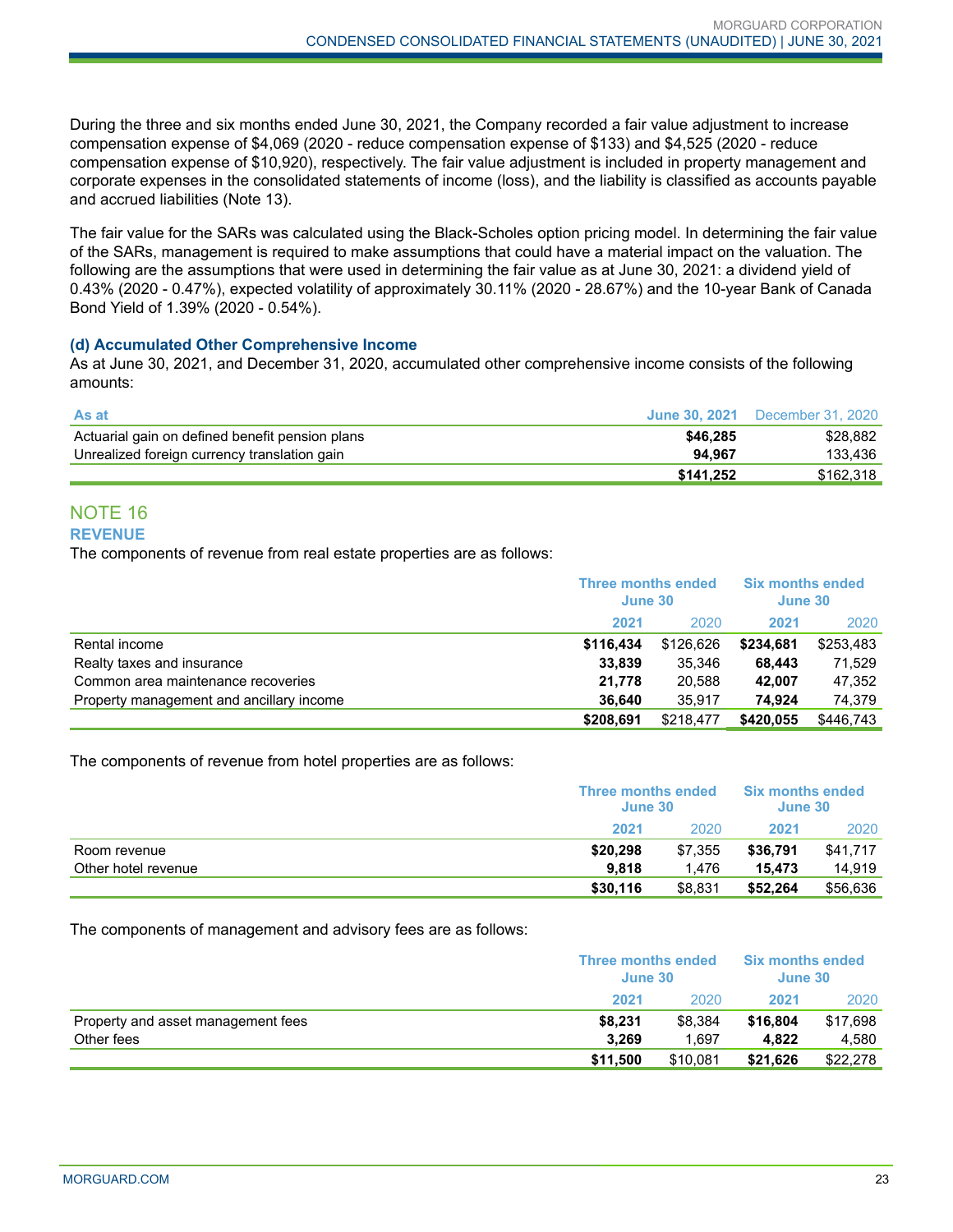During the three and six months ended June 30, 2021, the Company recorded a fair value adjustment to increase compensation expense of \$4,069 (2020 - reduce compensation expense of \$133) and \$4,525 (2020 - reduce compensation expense of \$10,920), respectively. The fair value adjustment is included in property management and corporate expenses in the consolidated statements of income (loss), and the liability is classified as accounts payable and accrued liabilities (Note 13).

The fair value for the SARs was calculated using the Black-Scholes option pricing model. In determining the fair value of the SARs, management is required to make assumptions that could have a material impact on the valuation. The following are the assumptions that were used in determining the fair value as at June 30, 2021: a dividend yield of 0.43% (2020 - 0.47%), expected volatility of approximately 30.11% (2020 - 28.67%) and the 10-year Bank of Canada Bond Yield of 1.39% (2020 - 0.54%).

#### **(d) Accumulated Other Comprehensive Income**

As at June 30, 2021, and December 31, 2020, accumulated other comprehensive income consists of the following amounts:

| <b>As at</b>                                    |           | <b>June 30, 2021</b> December 31, 2020 |
|-------------------------------------------------|-----------|----------------------------------------|
| Actuarial gain on defined benefit pension plans | \$46,285  | \$28.882                               |
| Unrealized foreign currency translation gain    | 94.967    | 133.436                                |
|                                                 | \$141.252 | \$162.318                              |

#### NOTE 16 **REVENUE**

The components of revenue from real estate properties are as follows:

|                                          | Three months ended<br>June 30 |           | <b>Six months ended</b><br>June 30 |           |
|------------------------------------------|-------------------------------|-----------|------------------------------------|-----------|
|                                          | 2021                          | 2020      | 2021                               | 2020      |
| Rental income                            | \$116.434                     | \$126,626 | \$234.681                          | \$253,483 |
| Realty taxes and insurance               | 33,839                        | 35.346    | 68.443                             | 71,529    |
| Common area maintenance recoveries       | 21.778                        | 20.588    | 42.007                             | 47,352    |
| Property management and ancillary income | 36.640                        | 35.917    | 74.924                             | 74,379    |
|                                          | \$208,691                     | \$218,477 | \$420,055                          | \$446,743 |

The components of revenue from hotel properties are as follows:

|                     | <b>Three months ended</b><br>June 30 |         | <b>Six months ended</b><br>June 30 |          |
|---------------------|--------------------------------------|---------|------------------------------------|----------|
|                     | 2021                                 | 2020    | 2021                               | 2020     |
| Room revenue        | \$20,298                             | \$7.355 | \$36.791                           | \$41,717 |
| Other hotel revenue | 9.818                                | 1.476   | 15.473                             | 14.919   |
|                     | \$30,116                             | \$8,831 | \$52,264                           | \$56,636 |

The components of management and advisory fees are as follows:

|                                    | Three months ended<br>June 30 |          | <b>Six months ended</b><br>June 30 |          |
|------------------------------------|-------------------------------|----------|------------------------------------|----------|
|                                    | 2021                          | 2020     | 2021                               | 2020     |
| Property and asset management fees | \$8,231                       | \$8.384  | \$16,804                           | \$17,698 |
| Other fees                         | 3,269                         | 1.697    | 4.822                              | 4.580    |
|                                    | \$11,500                      | \$10.081 | \$21.626                           | \$22,278 |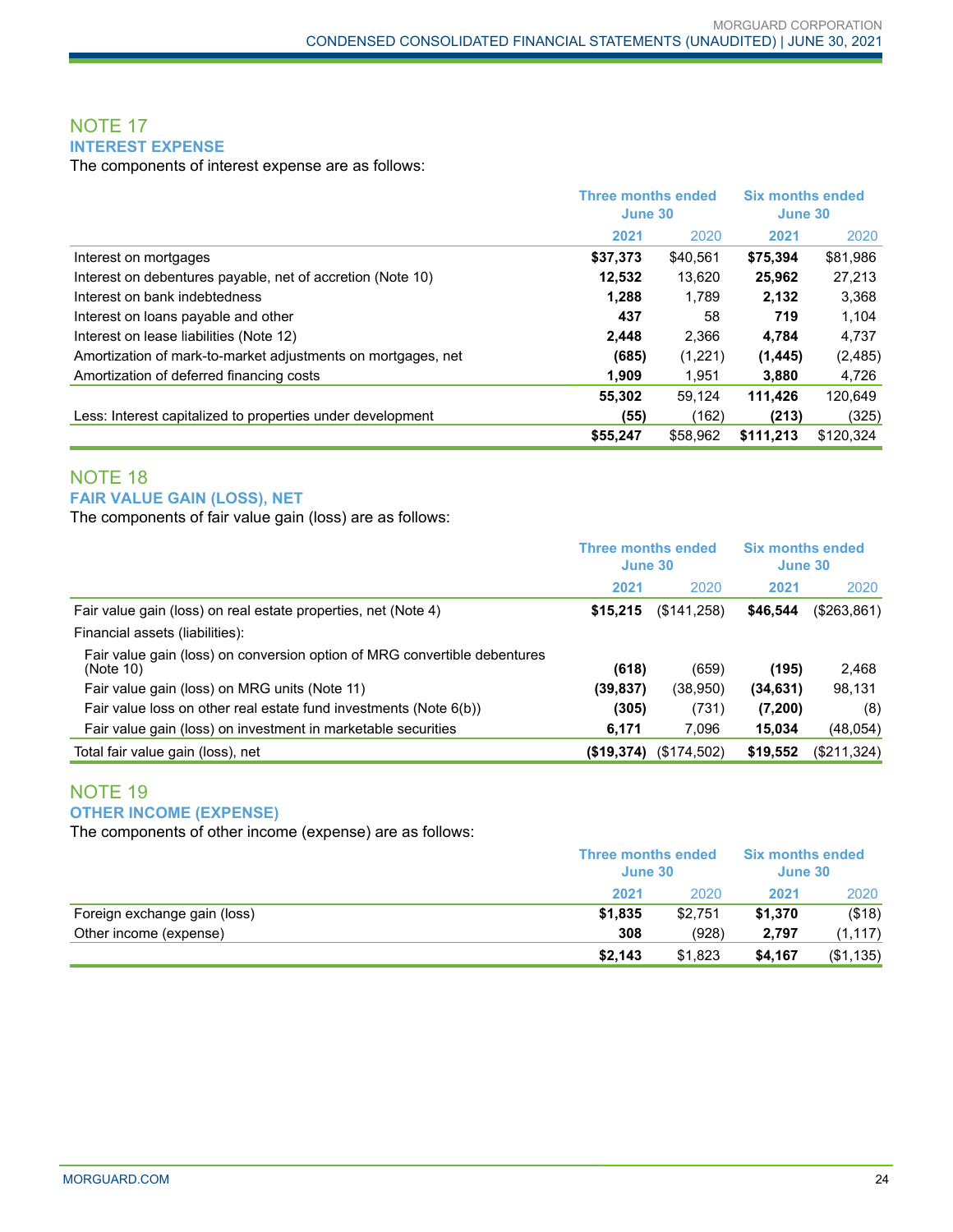# NOTE 17 **INTEREST EXPENSE**

The components of interest expense are as follows:

|                                                              |          | <b>Three months ended</b><br>June 30 |           | <b>Six months ended</b><br>June 30 |
|--------------------------------------------------------------|----------|--------------------------------------|-----------|------------------------------------|
|                                                              | 2021     | 2020                                 | 2021      | 2020                               |
| Interest on mortgages                                        | \$37,373 | \$40.561                             | \$75.394  | \$81,986                           |
| Interest on debentures payable, net of accretion (Note 10)   | 12,532   | 13,620                               | 25,962    | 27,213                             |
| Interest on bank indebtedness                                | 1,288    | 1.789                                | 2,132     | 3,368                              |
| Interest on loans payable and other                          | 437      | 58                                   | 719       | 1.104                              |
| Interest on lease liabilities (Note 12)                      | 2.448    | 2,366                                | 4.784     | 4,737                              |
| Amortization of mark-to-market adjustments on mortgages, net | (685)    | (1,221)                              | (1, 445)  | (2, 485)                           |
| Amortization of deferred financing costs                     | 1,909    | 1.951                                | 3,880     | 4,726                              |
|                                                              | 55.302   | 59.124                               | 111.426   | 120.649                            |
| Less: Interest capitalized to properties under development   | (55)     | (162)                                | (213)     | (325)                              |
|                                                              | \$55,247 | \$58,962                             | \$111.213 | \$120,324                          |

# NOTE 18 **FAIR VALUE GAIN (LOSS), NET**

The components of fair value gain (loss) are as follows:

|                                                                                        | <b>Three months ended</b><br>June 30 |             | <b>Six months ended</b><br>June 30 |             |
|----------------------------------------------------------------------------------------|--------------------------------------|-------------|------------------------------------|-------------|
|                                                                                        | 2021                                 | 2020        | 2021                               | 2020        |
| Fair value gain (loss) on real estate properties, net (Note 4)                         | \$15,215                             | (\$141,258) | \$46.544                           | (\$263,861) |
| Financial assets (liabilities):                                                        |                                      |             |                                    |             |
| Fair value gain (loss) on conversion option of MRG convertible debentures<br>(Note 10) | (618)                                | (659)       | (195)                              | 2,468       |
| Fair value gain (loss) on MRG units (Note 11)                                          | (39, 837)                            | (38,950)    | (34, 631)                          | 98,131      |
| Fair value loss on other real estate fund investments (Note 6(b))                      | (305)                                | (731)       | (7,200)                            | (8)         |
| Fair value gain (loss) on investment in marketable securities                          | 6,171                                | 7,096       | 15,034                             | (48, 054)   |
| Total fair value gain (loss), net                                                      | (\$19,374)                           | (\$174,502) | \$19,552                           | (\$211,324) |

# NOTE 19 **OTHER INCOME (EXPENSE)**

The components of other income (expense) are as follows:

|                              |         | <b>Three months ended</b><br>June 30 |         | <b>Six months ended</b><br>June 30 |  |
|------------------------------|---------|--------------------------------------|---------|------------------------------------|--|
|                              | 2021    | 2020                                 | 2021    | 2020                               |  |
| Foreign exchange gain (loss) | \$1.835 | \$2.751                              | \$1.370 | (\$18)                             |  |
| Other income (expense)       | 308     | (928)                                | 2.797   | (1, 117)                           |  |
|                              | \$2,143 | \$1,823                              | \$4,167 | (\$1,135)                          |  |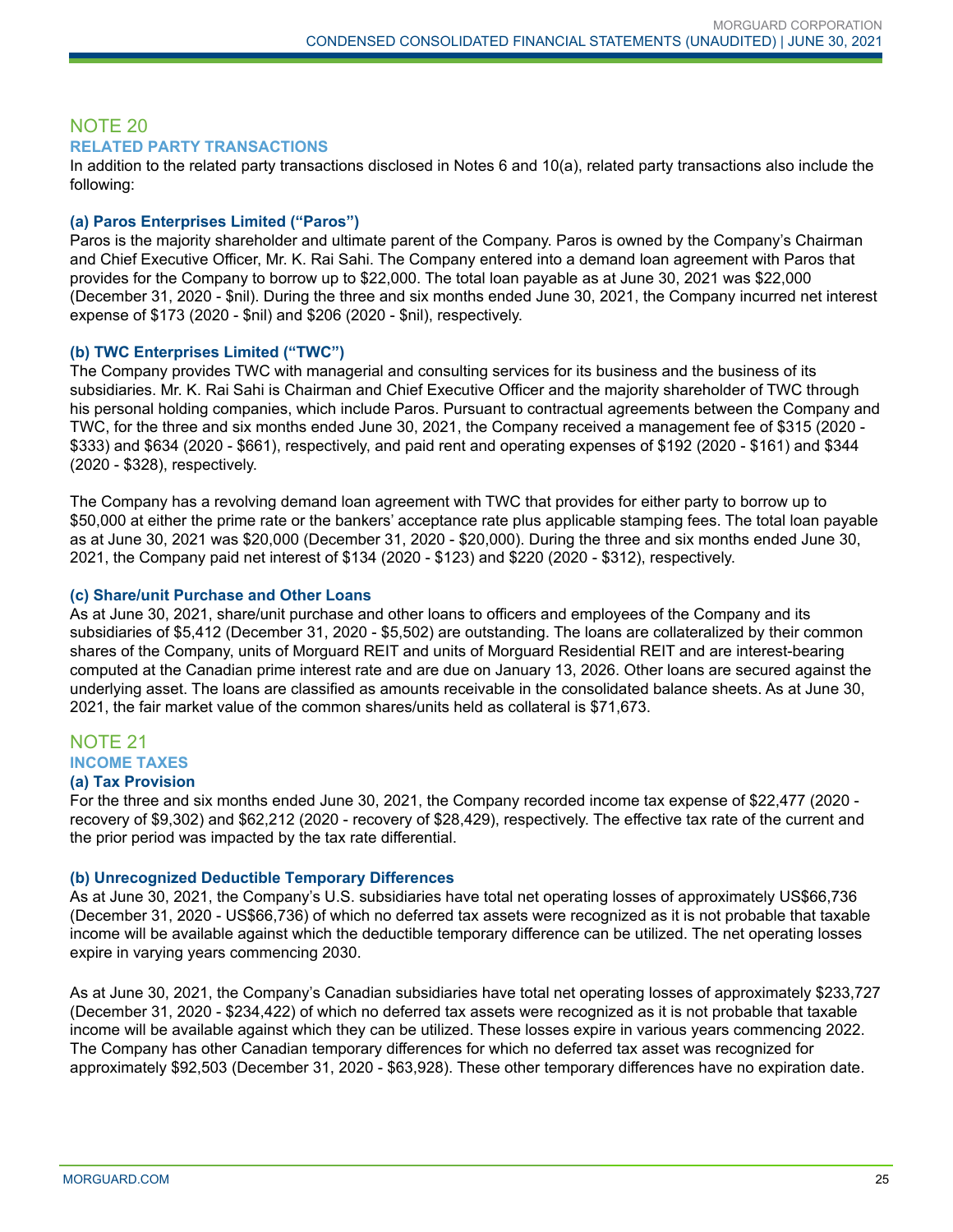# NOTE 20 **RELATED PARTY TRANSACTIONS**

In addition to the related party transactions disclosed in Notes 6 and 10(a), related party transactions also include the following:

### **(a) Paros Enterprises Limited ("Paros")**

Paros is the majority shareholder and ultimate parent of the Company. Paros is owned by the Company's Chairman and Chief Executive Officer, Mr. K. Rai Sahi. The Company entered into a demand loan agreement with Paros that provides for the Company to borrow up to \$22,000. The total loan payable as at June 30, 2021 was \$22,000 (December 31, 2020 - \$nil). During the three and six months ended June 30, 2021, the Company incurred net interest expense of \$173 (2020 - \$nil) and \$206 (2020 - \$nil), respectively.

#### **(b) TWC Enterprises Limited ("TWC")**

The Company provides TWC with managerial and consulting services for its business and the business of its subsidiaries. Mr. K. Rai Sahi is Chairman and Chief Executive Officer and the majority shareholder of TWC through his personal holding companies, which include Paros. Pursuant to contractual agreements between the Company and TWC, for the three and six months ended June 30, 2021, the Company received a management fee of \$315 (2020 - \$333) and \$634 (2020 - \$661), respectively, and paid rent and operating expenses of \$192 (2020 - \$161) and \$344 (2020 - \$328), respectively.

The Company has a revolving demand loan agreement with TWC that provides for either party to borrow up to \$50,000 at either the prime rate or the bankers' acceptance rate plus applicable stamping fees. The total loan payable as at June 30, 2021 was \$20,000 (December 31, 2020 - \$20,000). During the three and six months ended June 30, 2021, the Company paid net interest of \$134 (2020 - \$123) and \$220 (2020 - \$312), respectively.

#### **(c) Share/unit Purchase and Other Loans**

As at June 30, 2021, share/unit purchase and other loans to officers and employees of the Company and its subsidiaries of \$5,412 (December 31, 2020 - \$5,502) are outstanding. The loans are collateralized by their common shares of the Company, units of Morguard REIT and units of Morguard Residential REIT and are interest-bearing computed at the Canadian prime interest rate and are due on January 13, 2026. Other loans are secured against the underlying asset. The loans are classified as amounts receivable in the consolidated balance sheets. As at June 30, 2021, the fair market value of the common shares/units held as collateral is \$71,673.

#### NOTE 21 **INCOME TAXES**

#### **(a) Tax Provision**

For the three and six months ended June 30, 2021, the Company recorded income tax expense of \$22,477 (2020 recovery of \$9,302) and \$62,212 (2020 - recovery of \$28,429), respectively. The effective tax rate of the current and the prior period was impacted by the tax rate differential.

#### **(b) Unrecognized Deductible Temporary Differences**

As at June 30, 2021, the Company's U.S. subsidiaries have total net operating losses of approximately US\$66,736 (December 31, 2020 - US\$66,736) of which no deferred tax assets were recognized as it is not probable that taxable income will be available against which the deductible temporary difference can be utilized. The net operating losses expire in varying years commencing 2030.

As at June 30, 2021, the Company's Canadian subsidiaries have total net operating losses of approximately \$233,727 (December 31, 2020 - \$234,422) of which no deferred tax assets were recognized as it is not probable that taxable income will be available against which they can be utilized. These losses expire in various years commencing 2022. The Company has other Canadian temporary differences for which no deferred tax asset was recognized for approximately \$92,503 (December 31, 2020 - \$63,928). These other temporary differences have no expiration date.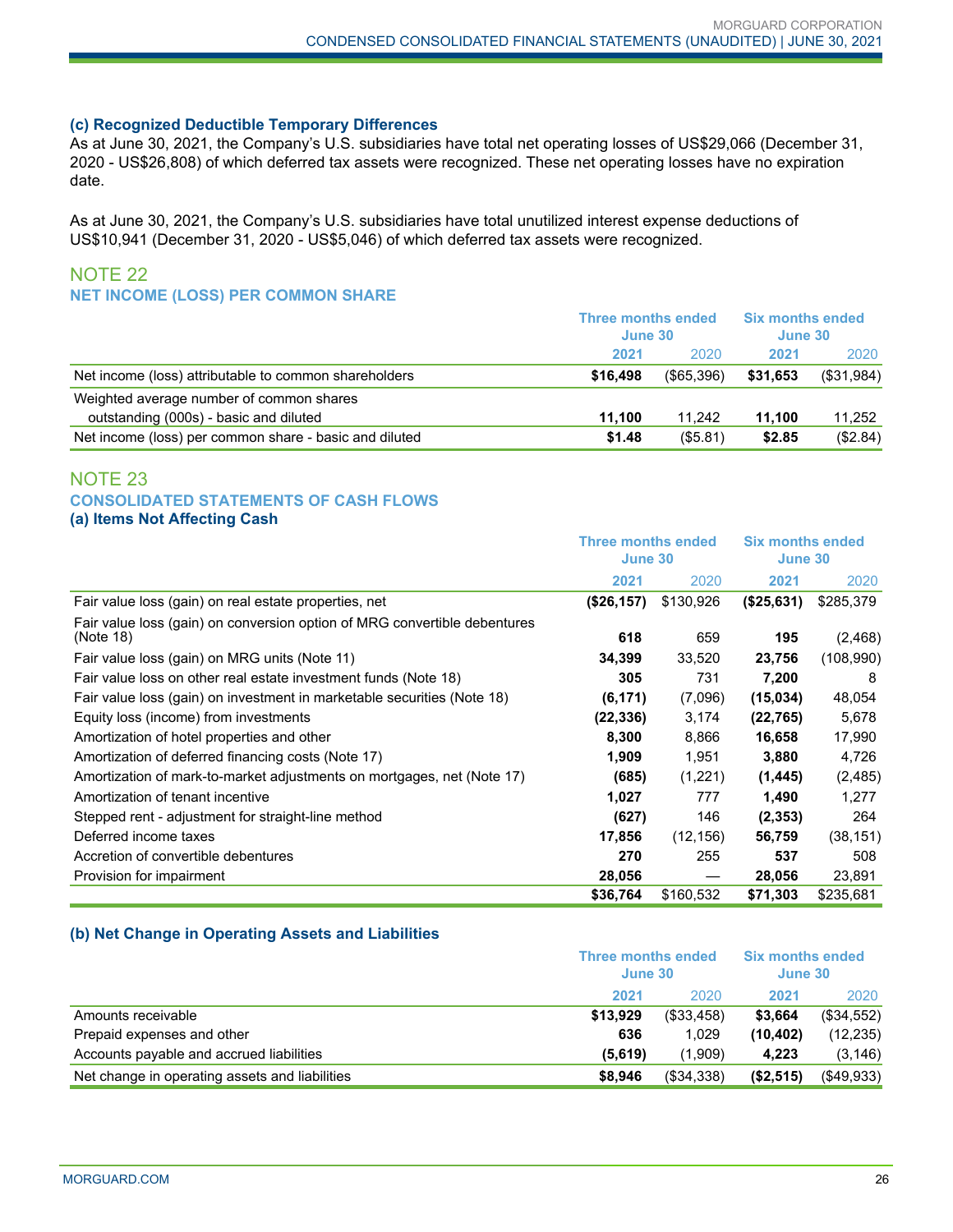#### **(c) Recognized Deductible Temporary Differences**

As at June 30, 2021, the Company's U.S. subsidiaries have total net operating losses of US\$29,066 (December 31, 2020 - US\$26,808) of which deferred tax assets were recognized. These net operating losses have no expiration date.

As at June 30, 2021, the Company's U.S. subsidiaries have total unutilized interest expense deductions of US\$10,941 (December 31, 2020 - US\$5,046) of which deferred tax assets were recognized.

# NOTE 22 **NET INCOME (LOSS) PER COMMON SHARE**

|                                                        | <b>Three months ended</b><br>June 30 |               | <b>Six months ended</b><br>June 30 |            |
|--------------------------------------------------------|--------------------------------------|---------------|------------------------------------|------------|
|                                                        | 2021                                 | 2020          | 2021                               | 2020       |
| Net income (loss) attributable to common shareholders  | \$16,498                             | $($ \$65.396) | \$31,653                           | (\$31,984) |
| Weighted average number of common shares               |                                      |               |                                    |            |
| outstanding (000s) - basic and diluted                 | 11.100                               | 11.242        | 11.100                             | 11,252     |
| Net income (loss) per common share - basic and diluted | \$1.48                               | $($ \$5.81)   | \$2.85                             | (\$2.84)   |

## NOTE 23 **CONSOLIDATED STATEMENTS OF CASH FLOWS (a) Items Not Affecting Cash**

|                                                                                        | Three months ended<br>June 30 |           | <b>Six months ended</b><br>June 30 |           |
|----------------------------------------------------------------------------------------|-------------------------------|-----------|------------------------------------|-----------|
|                                                                                        | 2021                          | 2020      | 2021                               | 2020      |
| Fair value loss (gain) on real estate properties, net                                  | (\$26,157)                    | \$130,926 | (\$25,631)                         | \$285,379 |
| Fair value loss (gain) on conversion option of MRG convertible debentures<br>(Note 18) | 618                           | 659       | 195                                | (2, 468)  |
| Fair value loss (gain) on MRG units (Note 11)                                          | 34,399                        | 33,520    | 23,756                             | (108,990) |
| Fair value loss on other real estate investment funds (Note 18)                        | 305                           | 731       | 7,200                              | 8         |
| Fair value loss (gain) on investment in marketable securities (Note 18)                | (6, 171)                      | (7,096)   | (15,034)                           | 48,054    |
| Equity loss (income) from investments                                                  | (22,336)                      | 3,174     | (22, 765)                          | 5,678     |
| Amortization of hotel properties and other                                             | 8,300                         | 8,866     | 16,658                             | 17,990    |
| Amortization of deferred financing costs (Note 17)                                     | 1,909                         | 1,951     | 3,880                              | 4,726     |
| Amortization of mark-to-market adjustments on mortgages, net (Note 17)                 | (685)                         | (1,221)   | (1, 445)                           | (2, 485)  |
| Amortization of tenant incentive                                                       | 1,027                         | 777       | 1,490                              | 1,277     |
| Stepped rent - adjustment for straight-line method                                     | (627)                         | 146       | (2, 353)                           | 264       |
| Deferred income taxes                                                                  | 17,856                        | (12, 156) | 56,759                             | (38, 151) |
| Accretion of convertible debentures                                                    | 270                           | 255       | 537                                | 508       |
| Provision for impairment                                                               | 28,056                        |           | 28,056                             | 23,891    |
|                                                                                        | \$36,764                      | \$160,532 | \$71,303                           | \$235,681 |

#### **(b) Net Change in Operating Assets and Liabilities**

|                                                | Three months ended<br>June 30 |            | <b>Six months ended</b><br>June 30 |               |
|------------------------------------------------|-------------------------------|------------|------------------------------------|---------------|
|                                                | 2021                          | 2020       | 2021                               | 2020          |
| Amounts receivable                             | \$13.929                      | (\$33,458) | \$3.664                            | (\$34,552)    |
| Prepaid expenses and other                     | 636                           | 1.029      | (10, 402)                          | (12, 235)     |
| Accounts payable and accrued liabilities       | (5.619)                       | (1.909)    | 4.223                              | (3, 146)      |
| Net change in operating assets and liabilities | \$8.946                       | (\$34,338) | (S2, 515)                          | $($ \$49,933) |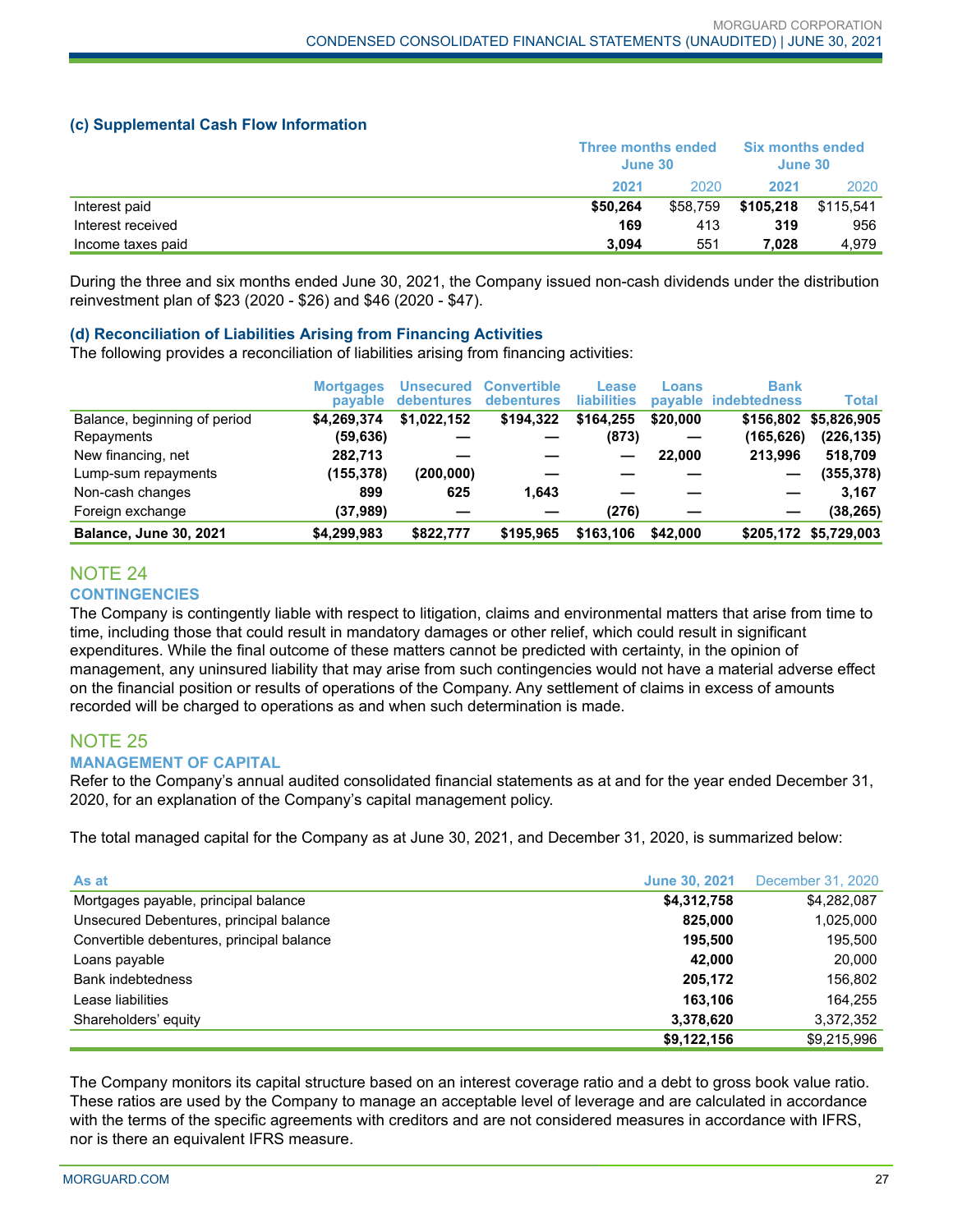#### **(c) Supplemental Cash Flow Information**

|                   | Three months ended<br>June 30 |          | <b>Six months ended</b><br>June 30 |           |
|-------------------|-------------------------------|----------|------------------------------------|-----------|
|                   | 2021                          | 2020     | 2021                               | 2020      |
| Interest paid     | \$50.264                      | \$58.759 | \$105.218                          | \$115.541 |
| Interest received | 169                           | 413      | 319                                | 956       |
| Income taxes paid | 3.094                         | 551      | 7.028                              | 4.979     |

During the three and six months ended June 30, 2021, the Company issued non-cash dividends under the distribution reinvestment plan of \$23 (2020 - \$26) and \$46 (2020 - \$47).

#### **(d) Reconciliation of Liabilities Arising from Financing Activities**

The following provides a reconciliation of liabilities arising from financing activities:

|                               | <b>Mortgages</b><br><b>pavable</b> | Unsecured<br>debentures | <b>Convertible</b><br><b>debentures</b> | Lease<br><b>liabilities</b> | Loans    | <b>Bank</b><br>pavable indebtedness | <b>Total</b>          |
|-------------------------------|------------------------------------|-------------------------|-----------------------------------------|-----------------------------|----------|-------------------------------------|-----------------------|
| Balance, beginning of period  | \$4.269.374                        | \$1.022.152             | \$194.322                               | \$164.255                   | \$20,000 | \$156,802                           | \$5,826,905           |
| Repayments                    | (59, 636)                          |                         |                                         | (873)                       |          | (165, 626)                          | (226, 135)            |
| New financing, net            | 282,713                            |                         |                                         |                             | 22,000   | 213.996                             | 518,709               |
| Lump-sum repayments           | (155, 378)                         | (200, 000)              |                                         |                             |          | —                                   | (355, 378)            |
| Non-cash changes              | 899                                | 625                     | 1.643                                   |                             |          |                                     | 3.167                 |
| Foreign exchange              | (37,989)                           |                         |                                         | (276)                       |          |                                     | (38, 265)             |
| <b>Balance, June 30, 2021</b> | \$4,299,983                        | \$822.777               | \$195,965                               | \$163,106                   | \$42,000 |                                     | \$205,172 \$5,729,003 |

# NOTE 24 **CONTINGENCIES**

The Company is contingently liable with respect to litigation, claims and environmental matters that arise from time to time, including those that could result in mandatory damages or other relief, which could result in significant expenditures. While the final outcome of these matters cannot be predicted with certainty, in the opinion of management, any uninsured liability that may arise from such contingencies would not have a material adverse effect on the financial position or results of operations of the Company. Any settlement of claims in excess of amounts recorded will be charged to operations as and when such determination is made.

#### NOTE 25 **MANAGEMENT OF CAPITAL**

Refer to the Company's annual audited consolidated financial statements as at and for the year ended December 31, 2020, for an explanation of the Company's capital management policy.

The total managed capital for the Company as at June 30, 2021, and December 31, 2020, is summarized below:

| As at                                     | <b>June 30, 2021</b> | December 31, 2020 |
|-------------------------------------------|----------------------|-------------------|
| Mortgages payable, principal balance      | \$4,312,758          | \$4,282,087       |
| Unsecured Debentures, principal balance   | 825.000              | 1,025,000         |
| Convertible debentures, principal balance | 195.500              | 195.500           |
| Loans payable                             | 42.000               | 20,000            |
| <b>Bank indebtedness</b>                  | 205.172              | 156.802           |
| Lease liabilities                         | 163.106              | 164.255           |
| Shareholders' equity                      | 3,378,620            | 3,372,352         |
|                                           | \$9,122,156          | \$9.215.996       |

The Company monitors its capital structure based on an interest coverage ratio and a debt to gross book value ratio. These ratios are used by the Company to manage an acceptable level of leverage and are calculated in accordance with the terms of the specific agreements with creditors and are not considered measures in accordance with IFRS, nor is there an equivalent IFRS measure.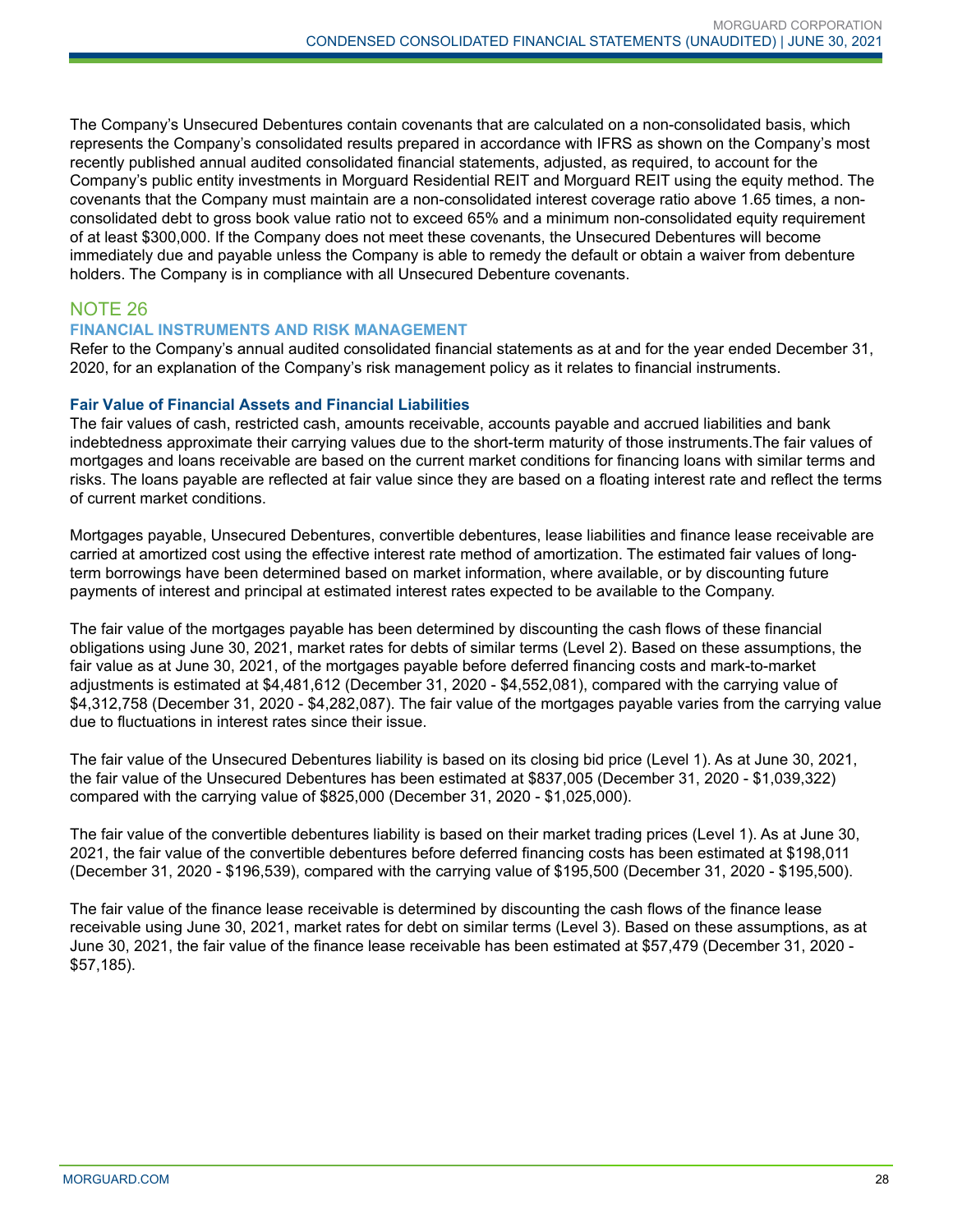The Company's Unsecured Debentures contain covenants that are calculated on a non-consolidated basis, which represents the Company's consolidated results prepared in accordance with IFRS as shown on the Company's most recently published annual audited consolidated financial statements, adjusted, as required, to account for the Company's public entity investments in Morguard Residential REIT and Morguard REIT using the equity method. The covenants that the Company must maintain are a non-consolidated interest coverage ratio above 1.65 times, a nonconsolidated debt to gross book value ratio not to exceed 65% and a minimum non-consolidated equity requirement of at least \$300,000. If the Company does not meet these covenants, the Unsecured Debentures will become immediately due and payable unless the Company is able to remedy the default or obtain a waiver from debenture holders. The Company is in compliance with all Unsecured Debenture covenants.

# NOTE 26

#### **FINANCIAL INSTRUMENTS AND RISK MANAGEMENT**

Refer to the Company's annual audited consolidated financial statements as at and for the year ended December 31, 2020, for an explanation of the Company's risk management policy as it relates to financial instruments.

#### **Fair Value of Financial Assets and Financial Liabilities**

The fair values of cash, restricted cash, amounts receivable, accounts payable and accrued liabilities and bank indebtedness approximate their carrying values due to the short-term maturity of those instruments.The fair values of mortgages and loans receivable are based on the current market conditions for financing loans with similar terms and risks. The loans payable are reflected at fair value since they are based on a floating interest rate and reflect the terms of current market conditions.

Mortgages payable, Unsecured Debentures, convertible debentures, lease liabilities and finance lease receivable are carried at amortized cost using the effective interest rate method of amortization. The estimated fair values of longterm borrowings have been determined based on market information, where available, or by discounting future payments of interest and principal at estimated interest rates expected to be available to the Company.

The fair value of the mortgages payable has been determined by discounting the cash flows of these financial obligations using June 30, 2021, market rates for debts of similar terms (Level 2). Based on these assumptions, the fair value as at June 30, 2021, of the mortgages payable before deferred financing costs and mark-to-market adjustments is estimated at \$4,481,612 (December 31, 2020 - \$4,552,081), compared with the carrying value of \$4,312,758 (December 31, 2020 - \$4,282,087). The fair value of the mortgages payable varies from the carrying value due to fluctuations in interest rates since their issue.

The fair value of the Unsecured Debentures liability is based on its closing bid price (Level 1). As at June 30, 2021, the fair value of the Unsecured Debentures has been estimated at \$837,005 (December 31, 2020 - \$1,039,322) compared with the carrying value of \$825,000 (December 31, 2020 - \$1,025,000).

The fair value of the convertible debentures liability is based on their market trading prices (Level 1). As at June 30, 2021, the fair value of the convertible debentures before deferred financing costs has been estimated at \$198,011 (December 31, 2020 - \$196,539), compared with the carrying value of \$195,500 (December 31, 2020 - \$195,500).

The fair value of the finance lease receivable is determined by discounting the cash flows of the finance lease receivable using June 30, 2021, market rates for debt on similar terms (Level 3). Based on these assumptions, as at June 30, 2021, the fair value of the finance lease receivable has been estimated at \$57,479 (December 31, 2020 - \$57,185).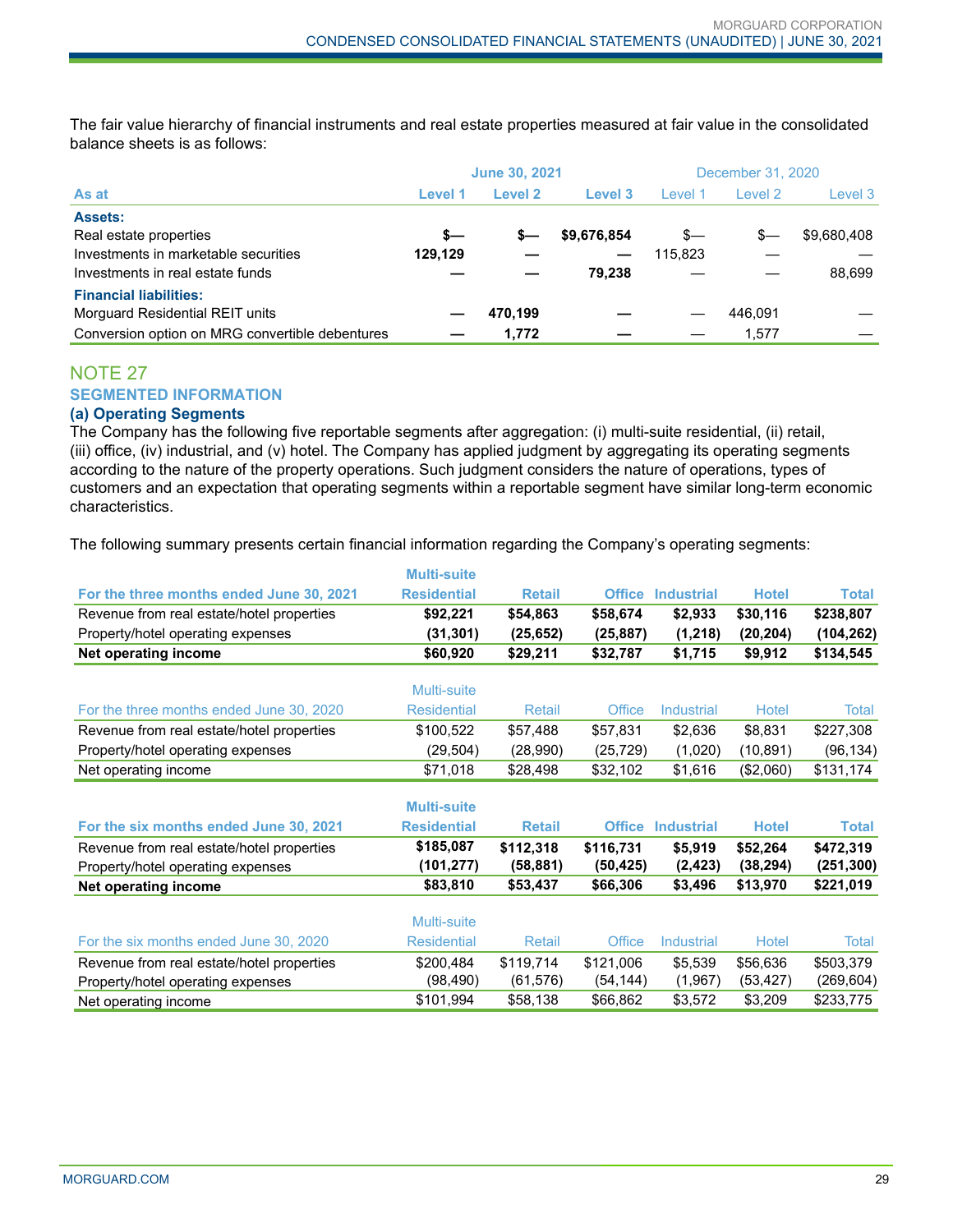The fair value hierarchy of financial instruments and real estate properties measured at fair value in the consolidated balance sheets is as follows:

| As at                                           | <b>June 30, 2021</b> |         |             | December 31, 2020 |         |             |
|-------------------------------------------------|----------------------|---------|-------------|-------------------|---------|-------------|
|                                                 | Level 1              | Level 2 | Level 3     | Level 1           | Level 2 | Level 3     |
| <b>Assets:</b>                                  |                      |         |             |                   |         |             |
| Real estate properties                          | s—                   | s—      | \$9,676,854 | s—                | $s-$    | \$9,680,408 |
| Investments in marketable securities            | 129,129              |         |             | 115.823           |         |             |
| Investments in real estate funds                |                      |         | 79.238      |                   |         | 88.699      |
| <b>Financial liabilities:</b>                   |                      |         |             |                   |         |             |
| Morguard Residential REIT units                 |                      | 470.199 |             |                   | 446.091 |             |
| Conversion option on MRG convertible debentures |                      | 1.772   |             |                   | 1.577   |             |

# NOTE 27 **SEGMENTED INFORMATION**

# **(a) Operating Segments**

The Company has the following five reportable segments after aggregation: (i) multi-suite residential, (ii) retail, (iii) office, (iv) industrial, and (v) hotel. The Company has applied judgment by aggregating its operating segments according to the nature of the property operations. Such judgment considers the nature of operations, types of customers and an expectation that operating segments within a reportable segment have similar long-term economic characteristics.

The following summary presents certain financial information regarding the Company's operating segments:

|                                                                                | <b>Multi-suite</b>      |                        |                       |                     |                       |                         |
|--------------------------------------------------------------------------------|-------------------------|------------------------|-----------------------|---------------------|-----------------------|-------------------------|
| For the three months ended June 30, 2021                                       | <b>Residential</b>      | <b>Retail</b>          | <b>Office</b>         | <b>Industrial</b>   | <b>Hotel</b>          | <b>Total</b>            |
| Revenue from real estate/hotel properties                                      | \$92,221                | \$54,863               | \$58,674              | \$2,933             | \$30,116              | \$238,807               |
| Property/hotel operating expenses                                              | (31, 301)               | (25, 652)              | (25, 887)             | (1,218)             | (20, 204)             | (104, 262)              |
| Net operating income                                                           | \$60,920                | \$29,211               | \$32,787              | \$1,715             | \$9,912               | \$134,545               |
|                                                                                | Multi-suite             |                        |                       |                     |                       |                         |
| For the three months ended June 30, 2020                                       | <b>Residential</b>      | <b>Retail</b>          | Office                | Industrial          | Hotel                 | Total                   |
| Revenue from real estate/hotel properties                                      | \$100,522               | \$57,488               | \$57,831              | \$2,636             | \$8,831               | \$227,308               |
| Property/hotel operating expenses                                              | (29, 504)               | (28,990)               | (25, 729)             | (1,020)             | (10, 891)             | (96, 134)               |
| Net operating income                                                           | \$71,018                | \$28,498               | \$32,102              | \$1,616             | (\$2,060)             | \$131,174               |
|                                                                                | <b>Multi-suite</b>      |                        |                       |                     |                       |                         |
| For the six months ended June 30, 2021                                         | <b>Residential</b>      | <b>Retail</b>          | <b>Office</b>         | <b>Industrial</b>   | <b>Hotel</b>          | <b>Total</b>            |
| Revenue from real estate/hotel properties<br>Property/hotel operating expenses | \$185,087<br>(101, 277) | \$112,318<br>(58, 881) | \$116,731<br>(50,425) | \$5,919<br>(2, 423) | \$52,264<br>(38, 294) | \$472,319<br>(251, 300) |
| Net operating income                                                           | \$83,810                | \$53,437               | \$66,306              | \$3,496             | \$13,970              | \$221,019               |
|                                                                                | Multi-suite             |                        |                       |                     |                       |                         |
| For the six months ended June 30, 2020                                         | <b>Residential</b>      | Retail                 | Office                | Industrial          | Hotel                 | Total                   |
| Revenue from real estate/hotel properties                                      | \$200,484               | \$119,714              | \$121,006             | \$5,539             | \$56,636              | \$503,379               |
| Property/hotel operating expenses                                              | (98, 490)               | (61, 576)              | (54, 144)             | (1,967)             | (53, 427)             | (269, 604)              |
| Net operating income                                                           | \$101,994               | \$58,138               | \$66,862              | \$3,572             | \$3,209               | \$233,775               |